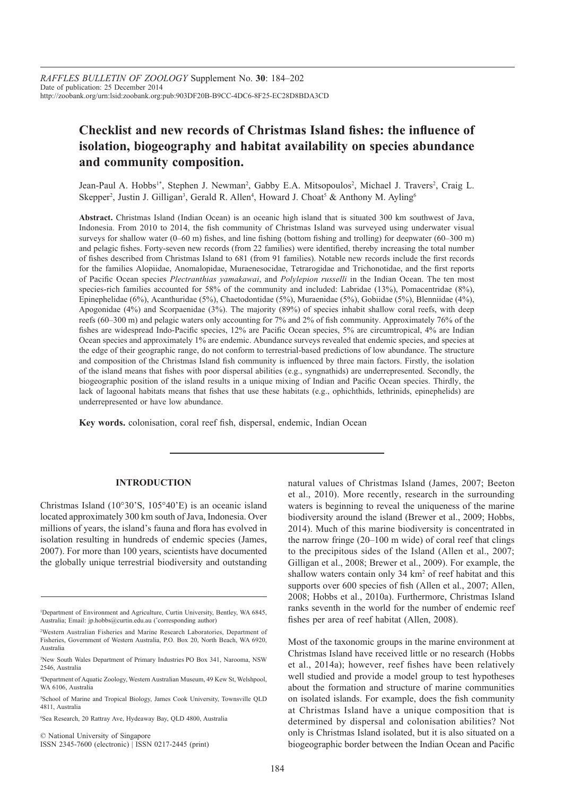# **Checklist and new records of Christmas Island fishes: the influence of isolation, biogeography and habitat availability on species abundance and community composition.**

Jean-Paul A. Hobbs<sup>1\*</sup>, Stephen J. Newman<sup>2</sup>, Gabby E.A. Mitsopoulos<sup>2</sup>, Michael J. Travers<sup>2</sup>, Craig L. Skepper<sup>2</sup>, Justin J. Gilligan<sup>3</sup>, Gerald R. Allen<sup>4</sup>, Howard J. Choat<sup>5</sup> & Anthony M. Ayling<sup>6</sup>

**Abstract.** Christmas Island (Indian Ocean) is an oceanic high island that is situated 300 km southwest of Java, Indonesia. From 2010 to 2014, the fish community of Christmas Island was surveyed using underwater visual surveys for shallow water (0–60 m) fishes, and line fishing (bottom fishing and trolling) for deepwater (60–300 m) and pelagic fishes. Forty-seven new records (from 22 families) were identified, thereby increasing the total number of fishes described from Christmas Island to 681 (from 91 families). Notable new records include the first records for the families Alopiidae, Anomalopidae, Muraenesocidae, Tetrarogidae and Trichonotidae, and the first reports of Pacific Ocean species *Plectranthias yamakawai*, and *Polylepion russelli* in the Indian Ocean. The ten most species-rich families accounted for 58% of the community and included: Labridae (13%), Pomacentridae (8%), Epinephelidae (6%), Acanthuridae (5%), Chaetodontidae (5%), Muraenidae (5%), Gobiidae (5%), Blenniidae (4%), Apogonidae (4%) and Scorpaenidae (3%). The majority (89%) of species inhabit shallow coral reefs, with deep reefs (60–300 m) and pelagic waters only accounting for 7% and 2% of fish community. Approximately 76% of the fishes are widespread Indo-Pacific species, 12% are Pacific Ocean species, 5% are circumtropical, 4% are Indian Ocean species and approximately 1% are endemic. Abundance surveys revealed that endemic species, and species at the edge of their geographic range, do not conform to terrestrial-based predictions of low abundance. The structure and composition of the Christmas Island fish community is influenced by three main factors. Firstly, the isolation of the island means that fishes with poor dispersal abilities (e.g., syngnathids) are underrepresented. Secondly, the biogeographic position of the island results in a unique mixing of Indian and Pacific Ocean species. Thirdly, the lack of lagoonal habitats means that fishes that use these habitats (e.g., ophichthids, lethrinids, epinephelids) are underrepresented or have low abundance.

**Key words.** colonisation, coral reef fish, dispersal, endemic, Indian Ocean

#### **INTRODUCTION**

Christmas Island (10°30'S, 105°40'E) is an oceanic island located approximately 300 km south of Java, Indonesia. Over millions of years, the island's fauna and flora has evolved in isolation resulting in hundreds of endemic species (James, 2007). For more than 100 years, scientists have documented the globally unique terrestrial biodiversity and outstanding

6 Sea Research, 20 Rattray Ave, Hydeaway Bay, QLD 4800, Australia

© National University of Singapore ISSN 2345-7600 (electronic) | ISSN 0217-2445 (print) natural values of Christmas Island (James, 2007; Beeton et al., 2010). More recently, research in the surrounding waters is beginning to reveal the uniqueness of the marine biodiversity around the island (Brewer et al., 2009; Hobbs, 2014). Much of this marine biodiversity is concentrated in the narrow fringe (20–100 m wide) of coral reef that clings to the precipitous sides of the Island (Allen et al., 2007; Gilligan et al., 2008; Brewer et al., 2009). For example, the shallow waters contain only 34 km<sup>2</sup> of reef habitat and this supports over 600 species of fish (Allen et al., 2007; Allen, 2008; Hobbs et al., 2010a). Furthermore, Christmas Island ranks seventh in the world for the number of endemic reef fishes per area of reef habitat (Allen, 2008).

Most of the taxonomic groups in the marine environment at Christmas Island have received little or no research (Hobbs et al., 2014a); however, reef fishes have been relatively well studied and provide a model group to test hypotheses about the formation and structure of marine communities on isolated islands. For example, does the fish community at Christmas Island have a unique composition that is determined by dispersal and colonisation abilities? Not only is Christmas Island isolated, but it is also situated on a biogeographic border between the Indian Ocean and Pacific

<sup>1</sup> Department of Environment and Agriculture, Curtin University, Bentley, WA 6845, Australia; Email: jp.hobbs@curtin.edu.au (\* corresponding author)

<sup>2</sup> Western Australian Fisheries and Marine Research Laboratories, Department of Fisheries, Government of Western Australia, P.O. Box 20, North Beach, WA 6920, Australia

<sup>3</sup> New South Wales Department of Primary Industries PO Box 341, Narooma, NSW 2546, Australia

<sup>4</sup> Department of Aquatic Zoology, Western Australian Museum, 49 Kew St, Welshpool, WA 6106, Australia

<sup>5</sup> School of Marine and Tropical Biology, James Cook University, Townsville QLD 4811, Australia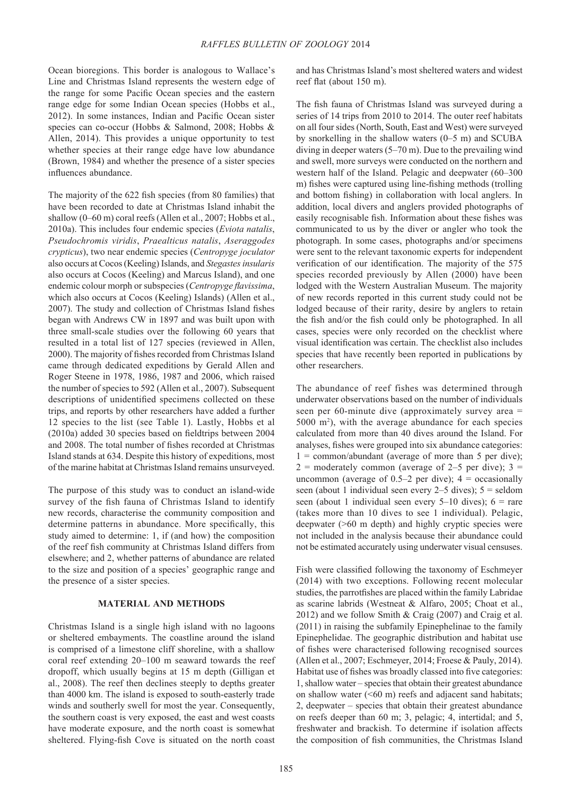Ocean bioregions. This border is analogous to Wallace's Line and Christmas Island represents the western edge of the range for some Pacific Ocean species and the eastern range edge for some Indian Ocean species (Hobbs et al., 2012). In some instances, Indian and Pacific Ocean sister species can co-occur (Hobbs & Salmond, 2008; Hobbs & Allen, 2014). This provides a unique opportunity to test whether species at their range edge have low abundance (Brown, 1984) and whether the presence of a sister species influences abundance.

The majority of the 622 fish species (from 80 families) that have been recorded to date at Christmas Island inhabit the shallow (0–60 m) coral reefs (Allen et al., 2007; Hobbs et al., 2010a). This includes four endemic species (*Eviota natalis*, *Pseudochromis viridis*, *Praealticus natalis*, *Aseraggodes crypticus*), two near endemic species (*Centropyge joculator* also occurs at Cocos (Keeling) Islands, and *Stegastes insularis*  also occurs at Cocos (Keeling) and Marcus Island), and one endemic colour morph or subspecies (*Centropyge flavissima*, which also occurs at Cocos (Keeling) Islands) (Allen et al., 2007). The study and collection of Christmas Island fishes began with Andrews CW in 1897 and was built upon with three small-scale studies over the following 60 years that resulted in a total list of 127 species (reviewed in Allen, 2000). The majority of fishes recorded from Christmas Island came through dedicated expeditions by Gerald Allen and Roger Steene in 1978, 1986, 1987 and 2006, which raised the number of species to 592 (Allen et al., 2007). Subsequent descriptions of unidentified specimens collected on these trips, and reports by other researchers have added a further 12 species to the list (see Table 1). Lastly, Hobbs et al (2010a) added 30 species based on fieldtrips between 2004 and 2008. The total number of fishes recorded at Christmas Island stands at 634. Despite this history of expeditions, most of the marine habitat at Christmas Island remains unsurveyed.

The purpose of this study was to conduct an island-wide survey of the fish fauna of Christmas Island to identify new records, characterise the community composition and determine patterns in abundance. More specifically, this study aimed to determine: 1, if (and how) the composition of the reef fish community at Christmas Island differs from elsewhere; and 2, whether patterns of abundance are related to the size and position of a species' geographic range and the presence of a sister species.

### **MATERIAL AND METHODS**

Christmas Island is a single high island with no lagoons or sheltered embayments. The coastline around the island is comprised of a limestone cliff shoreline, with a shallow coral reef extending 20–100 m seaward towards the reef dropoff, which usually begins at 15 m depth (Gilligan et al., 2008). The reef then declines steeply to depths greater than 4000 km. The island is exposed to south-easterly trade winds and southerly swell for most the year. Consequently, the southern coast is very exposed, the east and west coasts have moderate exposure, and the north coast is somewhat sheltered. Flying-fish Cove is situated on the north coast and has Christmas Island's most sheltered waters and widest reef flat (about 150 m).

The fish fauna of Christmas Island was surveyed during a series of 14 trips from 2010 to 2014. The outer reef habitats on all four sides (North, South, East and West) were surveyed by snorkelling in the shallow waters (0–5 m) and SCUBA diving in deeper waters (5–70 m). Due to the prevailing wind and swell, more surveys were conducted on the northern and western half of the Island. Pelagic and deepwater (60–300 m) fishes were captured using line-fishing methods (trolling and bottom fishing) in collaboration with local anglers. In addition, local divers and anglers provided photographs of easily recognisable fish. Information about these fishes was communicated to us by the diver or angler who took the photograph. In some cases, photographs and/or specimens were sent to the relevant taxonomic experts for independent verification of our identification. The majority of the 575 species recorded previously by Allen (2000) have been lodged with the Western Australian Museum. The majority of new records reported in this current study could not be lodged because of their rarity, desire by anglers to retain the fish and/or the fish could only be photographed. In all cases, species were only recorded on the checklist where visual identification was certain. The checklist also includes species that have recently been reported in publications by other researchers.

The abundance of reef fishes was determined through underwater observations based on the number of individuals seen per 60-minute dive (approximately survey area = 5000 m2 ), with the average abundance for each species calculated from more than 40 dives around the Island. For analyses, fishes were grouped into six abundance categories:  $1 = \text{common/abundant}$  (average of more than 5 per dive);  $2 =$  moderately common (average of 2–5 per dive);  $3 =$ uncommon (average of  $0.5-2$  per dive);  $4 = \text{occasionally}$ seen (about 1 individual seen every  $2-5$  dives);  $5 =$  seldom seen (about 1 individual seen every  $5-10$  dives);  $6 = \text{rare}$ (takes more than 10 dives to see 1 individual). Pelagic, deepwater (>60 m depth) and highly cryptic species were not included in the analysis because their abundance could not be estimated accurately using underwater visual censuses.

Fish were classified following the taxonomy of Eschmeyer (2014) with two exceptions. Following recent molecular studies, the parrotfishes are placed within the family Labridae as scarine labrids (Westneat & Alfaro, 2005; Choat et al., 2012) and we follow Smith & Craig (2007) and Craig et al. (2011) in raising the subfamily Epinephelinae to the family Epinephelidae. The geographic distribution and habitat use of fishes were characterised following recognised sources (Allen et al., 2007; Eschmeyer, 2014; Froese & Pauly, 2014). Habitat use of fishes was broadly classed into five categories: 1, shallow water – species that obtain their greatest abundance on shallow water  $( $60 \text{ m}$ )$  reefs and adjacent sand habitats; 2, deepwater – species that obtain their greatest abundance on reefs deeper than 60 m; 3, pelagic; 4, intertidal; and 5, freshwater and brackish. To determine if isolation affects the composition of fish communities, the Christmas Island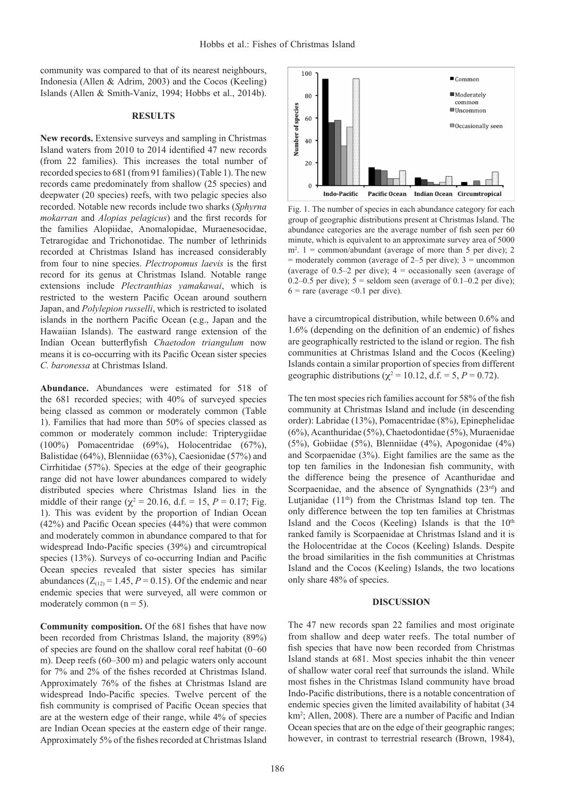community was compared to that of its nearest neighbours, Indonesia (Allen & Adrim, 2003) and the Cocos (Keeling) Islands (Allen & Smith-Vaniz, 1994; Hobbs et al., 2014b).

#### **RESULTS**

**New records.** Extensive surveys and sampling in Christmas Island waters from 2010 to 2014 identified 47 new records (from 22 families). This increases the total number of recorded species to 681 (from 91 families) (Table 1). The new records came predominately from shallow (25 species) and deepwater (20 species) reefs, with two pelagic species also recorded. Notable new records include two sharks (*Sphyrna mokarran* and *Alopias pelagicus*) and the first records for the families Alopiidae, Anomalopidae, Muraenesocidae, Tetrarogidae and Trichonotidae. The number of lethrinids recorded at Christmas Island has increased considerably from four to nine species. *Plectropomus laevis* is the first record for its genus at Christmas Island. Notable range extensions include *Plectranthias yamakawai*, which is restricted to the western Pacific Ocean around southern Japan, and *Polylepion russelli*, which is restricted to isolated islands in the northern Pacific Ocean (e.g., Japan and the Hawaiian Islands). The eastward range extension of the Indian Ocean butterflyfish *Chaetodon triangulum* now means it is co-occurring with its Pacific Ocean sister species *C. baronessa* at Christmas Island.

**Abundance.** Abundances were estimated for 518 of the 681 recorded species; with 40% of surveyed species being classed as common or moderately common (Table 1). Families that had more than 50% of species classed as common or moderately common include: Tripterygiidae (100%) Pomacentridae (69%), Holocentridae (67%), Balistidae (64%), Blenniidae (63%), Caesionidae (57%) and Cirrhitidae (57%). Species at the edge of their geographic range did not have lower abundances compared to widely distributed species where Christmas Island lies in the middle of their range ( $\chi^2 = 20.16$ , d.f. = 15, *P* = 0.17; Fig. 1). This was evident by the proportion of Indian Ocean (42%) and Pacific Ocean species (44%) that were common and moderately common in abundance compared to that for widespread Indo-Pacific species (39%) and circumtropical species (13%). Surveys of co-occurring Indian and Pacific Ocean species revealed that sister species has similar abundances  $(Z<sub>(12)</sub> = 1.45, P = 0.15)$ . Of the endemic and near endemic species that were surveyed, all were common or moderately common  $(n = 5)$ .

**Community composition.** Of the 681 fishes that have now been recorded from Christmas Island, the majority (89%) of species are found on the shallow coral reef habitat (0–60 m). Deep reefs (60–300 m) and pelagic waters only account for 7% and 2% of the fishes recorded at Christmas Island. Approximately 76% of the fishes at Christmas Island are widespread Indo-Pacific species. Twelve percent of the fish community is comprised of Pacific Ocean species that are at the western edge of their range, while 4% of species are Indian Ocean species at the eastern edge of their range. Approximately 5% of the fishes recorded at Christmas Island



Fig. 1. The number of species in each abundance category for each group of geographic distributions present at Christmas Island. The abundance categories are the average number of fish seen per 60 minute, which is equivalent to an approximate survey area of 5000  $m^2$ . 1 = common/abundant (average of more than 5 per dive); 2  $=$  moderately common (average of 2–5 per dive);  $3 =$  uncommon (average of 0.5–2 per dive);  $4 =$  occasionally seen (average of 0.2–0.5 per dive);  $5 =$  seldom seen (average of 0.1–0.2 per dive);  $6$  = rare (average < 0.1 per dive).

have a circumtropical distribution, while between 0.6% and 1.6% (depending on the definition of an endemic) of fishes are geographically restricted to the island or region. The fish communities at Christmas Island and the Cocos (Keeling) Islands contain a similar proportion of species from different geographic distributions ( $\chi^2 = 10.12$ , d.f. = 5, *P* = 0.72).

The ten most species rich families account for 58% of the fish community at Christmas Island and include (in descending order): Labridae (13%), Pomacentridae (8%), Epinephelidae (6%), Acanthuridae (5%), Chaetodontidae (5%), Muraenidae (5%), Gobiidae (5%), Blenniidae (4%), Apogonidae (4%) and Scorpaenidae (3%). Eight families are the same as the top ten families in the Indonesian fish community, with the difference being the presence of Acanthuridae and Scorpaenidae, and the absence of Syngnathids (23rd) and Lutjanidae  $(11<sup>th</sup>)$  from the Christmas Island top ten. The only difference between the top ten families at Christmas Island and the Cocos (Keeling) Islands is that the  $10<sup>th</sup>$ ranked family is Scorpaenidae at Christmas Island and it is the Holocentridae at the Cocos (Keeling) Islands. Despite the broad similarities in the fish communities at Christmas Island and the Cocos (Keeling) Islands, the two locations only share 48% of species.

#### **DISCUSSION**

The 47 new records span 22 families and most originate from shallow and deep water reefs. The total number of fish species that have now been recorded from Christmas Island stands at 681. Most species inhabit the thin veneer of shallow water coral reef that surrounds the island. While most fishes in the Christmas Island community have broad Indo-Pacific distributions, there is a notable concentration of endemic species given the limited availability of habitat (34 km<sup>2</sup>; Allen, 2008). There are a number of Pacific and Indian Ocean species that are on the edge of their geographic ranges; however, in contrast to terrestrial research (Brown, 1984),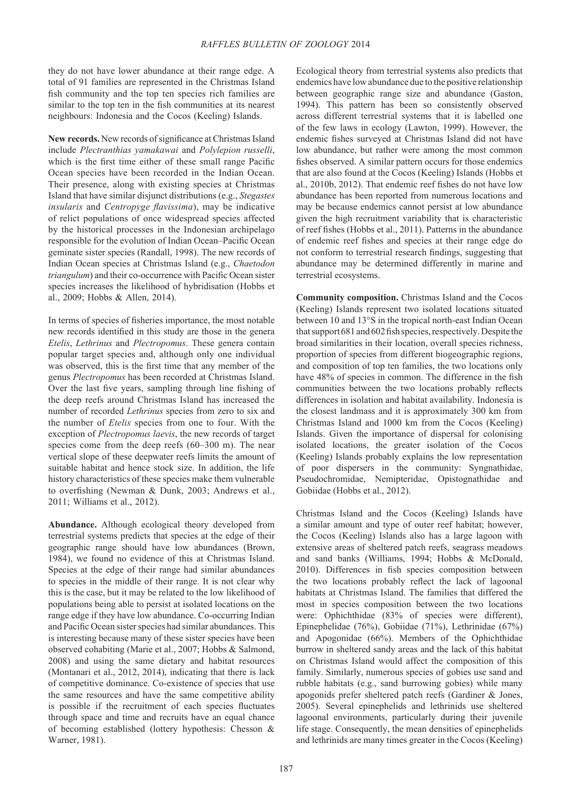they do not have lower abundance at their range edge. A total of 91 families are represented in the Christmas Island fish community and the top ten species rich families are similar to the top ten in the fish communities at its nearest neighbours: Indonesia and the Cocos (Keeling) Islands.

**New records.** New records of significance at Christmas Island include *Plectranthias yamakawai* and *Polylepion russelli*, which is the first time either of these small range Pacific Ocean species have been recorded in the Indian Ocean. Their presence, along with existing species at Christmas Island that have similar disjunct distributions (e.g., *Stegastes insularis* and *Centropyge flavissima*), may be indicative of relict populations of once widespread species affected by the historical processes in the Indonesian archipelago responsible for the evolution of Indian Ocean–Pacific Ocean geminate sister species (Randall, 1998). The new records of Indian Ocean species at Christmas Island (e.g., *Chaetodon triangulum*) and their co-occurrence with Pacific Ocean sister species increases the likelihood of hybridisation (Hobbs et al., 2009; Hobbs & Allen, 2014).

In terms of species of fisheries importance, the most notable new records identified in this study are those in the genera *Etelis*, *Lethrinus* and *Plectropomus*. These genera contain popular target species and, although only one individual was observed, this is the first time that any member of the genus *Plectropomus* has been recorded at Christmas Island. Over the last five years, sampling through line fishing of the deep reefs around Christmas Island has increased the number of recorded *Lethrinus* species from zero to six and the number of *Etelis* species from one to four. With the exception of *Plectropomus laevis*, the new records of target species come from the deep reefs (60–300 m). The near vertical slope of these deepwater reefs limits the amount of suitable habitat and hence stock size. In addition, the life history characteristics of these species make them vulnerable to overfishing (Newman & Dunk, 2003; Andrews et al., 2011; Williams et al., 2012).

**Abundance.** Although ecological theory developed from terrestrial systems predicts that species at the edge of their geographic range should have low abundances (Brown, 1984), we found no evidence of this at Christmas Island. Species at the edge of their range had similar abundances to species in the middle of their range. It is not clear why this is the case, but it may be related to the low likelihood of populations being able to persist at isolated locations on the range edge if they have low abundance. Co-occurring Indian and Pacific Ocean sister species had similar abundances. This is interesting because many of these sister species have been observed cohabiting (Marie et al., 2007; Hobbs & Salmond, 2008) and using the same dietary and habitat resources (Montanari et al., 2012, 2014), indicating that there is lack of competitive dominance. Co-existence of species that use the same resources and have the same competitive ability is possible if the recruitment of each species fluctuates through space and time and recruits have an equal chance of becoming established (lottery hypothesis: Chesson & Warner, 1981).

Ecological theory from terrestrial systems also predicts that endemics have low abundance due to the positive relationship between geographic range size and abundance (Gaston, 1994). This pattern has been so consistently observed across different terrestrial systems that it is labelled one of the few laws in ecology (Lawton, 1999). However, the endemic fishes surveyed at Christmas Island did not have low abundance, but rather were among the most common fishes observed. A similar pattern occurs for those endemics that are also found at the Cocos (Keeling) Islands (Hobbs et al., 2010b, 2012). That endemic reef fishes do not have low abundance has been reported from numerous locations and may be because endemics cannot persist at low abundance given the high recruitment variability that is characteristic of reef fishes (Hobbs et al., 2011). Patterns in the abundance of endemic reef fishes and species at their range edge do not conform to terrestrial research findings, suggesting that abundance may be determined differently in marine and terrestrial ecosystems.

**Community composition.** Christmas Island and the Cocos (Keeling) Islands represent two isolated locations situated between 10 and 13°S in the tropical north-east Indian Ocean that support 681 and 602 fish species, respectively. Despite the broad similarities in their location, overall species richness, proportion of species from different biogeographic regions, and composition of top ten families, the two locations only have 48% of species in common. The difference in the fish communities between the two locations probably reflects differences in isolation and habitat availability. Indonesia is the closest landmass and it is approximately 300 km from Christmas Island and 1000 km from the Cocos (Keeling) Islands. Given the importance of dispersal for colonising isolated locations, the greater isolation of the Cocos (Keeling) Islands probably explains the low representation of poor dispersers in the community: Syngnathidae, Pseudochromidae, Nemipteridae, Opistognathidae and Gobiidae (Hobbs et al., 2012).

Christmas Island and the Cocos (Keeling) Islands have a similar amount and type of outer reef habitat; however, the Cocos (Keeling) Islands also has a large lagoon with extensive areas of sheltered patch reefs, seagrass meadows and sand banks (Williams, 1994; Hobbs & McDonald, 2010). Differences in fish species composition between the two locations probably reflect the lack of lagoonal habitats at Christmas Island. The families that differed the most in species composition between the two locations were: Ophichthidae (83% of species were different), Epinephelidae (76%), Gobiidae (71%), Lethrinidae (67%) and Apogonidae (66%). Members of the Ophichthidae burrow in sheltered sandy areas and the lack of this habitat on Christmas Island would affect the composition of this family. Similarly, numerous species of gobies use sand and rubble habitats (e.g., sand burrowing gobies) while many apogonids prefer sheltered patch reefs (Gardiner & Jones, 2005). Several epinephelids and lethrinids use sheltered lagoonal environments, particularly during their juvenile life stage. Consequently, the mean densities of epinephelids and lethrinids are many times greater in the Cocos (Keeling)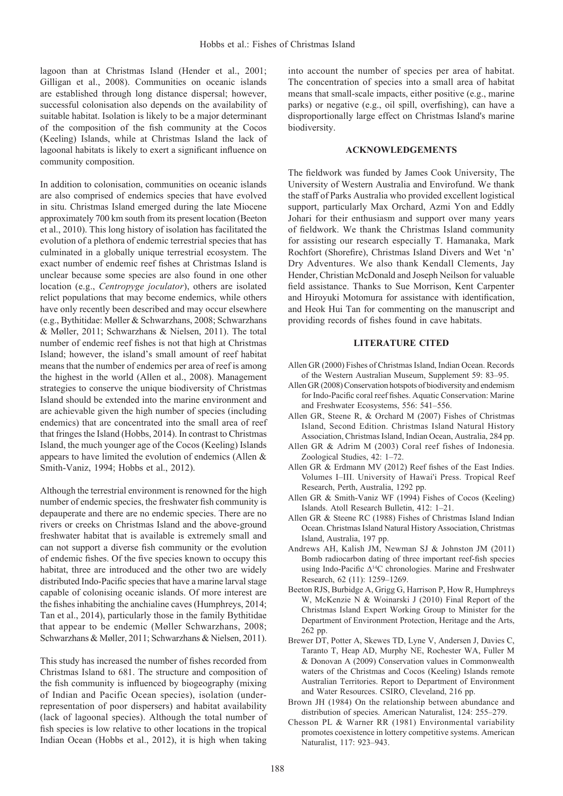lagoon than at Christmas Island (Hender et al., 2001; Gilligan et al., 2008). Communities on oceanic islands are established through long distance dispersal; however, successful colonisation also depends on the availability of suitable habitat. Isolation is likely to be a major determinant of the composition of the fish community at the Cocos (Keeling) Islands, while at Christmas Island the lack of lagoonal habitats is likely to exert a significant influence on community composition.

In addition to colonisation, communities on oceanic islands are also comprised of endemics species that have evolved in situ. Christmas Island emerged during the late Miocene approximately 700 km south from its present location (Beeton et al., 2010). This long history of isolation has facilitated the evolution of a plethora of endemic terrestrial species that has culminated in a globally unique terrestrial ecosystem. The exact number of endemic reef fishes at Christmas Island is unclear because some species are also found in one other location (e.g., *Centropyge joculator*), others are isolated relict populations that may become endemics, while others have only recently been described and may occur elsewhere (e.g., Bythitidae: Møller & Schwarzhans, 2008; Schwarzhans & Møller, 2011; Schwarzhans & Nielsen, 2011). The total number of endemic reef fishes is not that high at Christmas Island; however, the island's small amount of reef habitat means that the number of endemics per area of reef is among the highest in the world (Allen et al., 2008). Management strategies to conserve the unique biodiversity of Christmas Island should be extended into the marine environment and are achievable given the high number of species (including endemics) that are concentrated into the small area of reef that fringes the Island (Hobbs, 2014). In contrast to Christmas Island, the much younger age of the Cocos (Keeling) Islands appears to have limited the evolution of endemics (Allen & Smith-Vaniz, 1994; Hobbs et al., 2012).

Although the terrestrial environment is renowned for the high number of endemic species, the freshwater fish community is depauperate and there are no endemic species. There are no rivers or creeks on Christmas Island and the above-ground freshwater habitat that is available is extremely small and can not support a diverse fish community or the evolution of endemic fishes. Of the five species known to occupy this habitat, three are introduced and the other two are widely distributed Indo-Pacific species that have a marine larval stage capable of colonising oceanic islands. Of more interest are the fishes inhabiting the anchialine caves (Humphreys, 2014; Tan et al., 2014), particularly those in the family Bythitidae that appear to be endemic (Møller Schwarzhans, 2008; Schwarzhans & Møller, 2011; Schwarzhans & Nielsen, 2011).

This study has increased the number of fishes recorded from Christmas Island to 681. The structure and composition of the fish community is influenced by biogeography (mixing of Indian and Pacific Ocean species), isolation (underrepresentation of poor dispersers) and habitat availability (lack of lagoonal species). Although the total number of fish species is low relative to other locations in the tropical Indian Ocean (Hobbs et al., 2012), it is high when taking

into account the number of species per area of habitat. The concentration of species into a small area of habitat means that small-scale impacts, either positive (e.g., marine parks) or negative (e.g., oil spill, overfishing), can have a disproportionally large effect on Christmas Island's marine biodiversity.

### **ACKNOWLEDGEMENTS**

The fieldwork was funded by James Cook University, The University of Western Australia and Envirofund. We thank the staff of Parks Australia who provided excellent logistical support, particularly Max Orchard, Azmi Yon and Eddly Johari for their enthusiasm and support over many years of fieldwork. We thank the Christmas Island community for assisting our research especially T. Hamanaka, Mark Rochfort (Shorefire), Christmas Island Divers and Wet 'n' Dry Adventures. We also thank Kendall Clements, Jay Hender, Christian McDonald and Joseph Neilson for valuable field assistance. Thanks to Sue Morrison, Kent Carpenter and Hiroyuki Motomura for assistance with identification, and Heok Hui Tan for commenting on the manuscript and providing records of fishes found in cave habitats.

#### **LITERATURE CITED**

- Allen GR (2000) Fishes of Christmas Island, Indian Ocean. Records of the Western Australian Museum, Supplement 59: 83–95.
- Allen GR (2008) Conservation hotspots of biodiversity and endemism for Indo-Pacific coral reef fishes. Aquatic Conservation: Marine and Freshwater Ecosystems, 556: 541–556.
- Allen GR, Steene R, & Orchard M (2007) Fishes of Christmas Island, Second Edition. Christmas Island Natural History Association, Christmas Island, Indian Ocean, Australia, 284 pp.
- Allen GR & Adrim M (2003) Coral reef fishes of Indonesia. Zoological Studies, 42: 1–72.
- Allen GR & Erdmann MV (2012) Reef fishes of the East Indies. Volumes I–III. University of Hawai'i Press. Tropical Reef Research, Perth, Australia, 1292 pp.
- Allen GR & Smith-Vaniz WF (1994) Fishes of Cocos (Keeling) Islands. Atoll Research Bulletin, 412: 1–21.
- Allen GR & Steene RC (1988) Fishes of Christmas Island Indian Ocean. Christmas Island Natural History Association, Christmas Island, Australia, 197 pp.
- Andrews AH, Kalish JM, Newman SJ & Johnston JM (2011) Bomb radiocarbon dating of three important reef-fish species using Indo-Pacific ∆14C chronologies. Marine and Freshwater Research, 62 (11): 1259–1269.
- Beeton RJS, Burbidge A, Grigg G, Harrison P, How R, Humphreys W, McKenzie N & Woinarski J (2010) Final Report of the Christmas Island Expert Working Group to Minister for the Department of Environment Protection, Heritage and the Arts, 262 pp.
- Brewer DT, Potter A, Skewes TD, Lyne V, Andersen J, Davies C, Taranto T, Heap AD, Murphy NE, Rochester WA, Fuller M & Donovan A (2009) Conservation values in Commonwealth waters of the Christmas and Cocos (Keeling) Islands remote Australian Territories. Report to Department of Environment and Water Resources. CSIRO, Cleveland, 216 pp.
- Brown JH (1984) On the relationship between abundance and distribution of species. American Naturalist, 124: 255–279.
- Chesson PL & Warner RR (1981) Environmental variability promotes coexistence in lottery competitive systems. American Naturalist, 117: 923–943.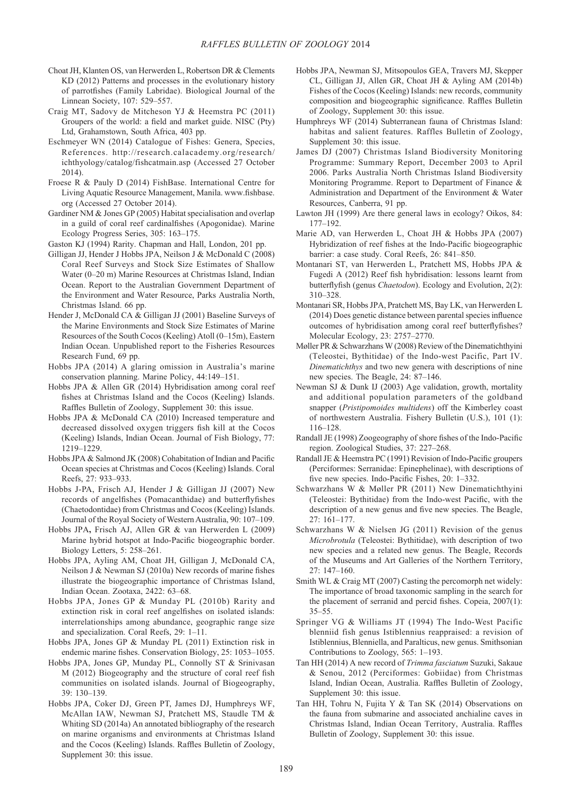- Choat JH, Klanten OS, van Herwerden L, Robertson DR & Clements KD (2012) Patterns and processes in the evolutionary history of parrotfishes (Family Labridae). Biological Journal of the Linnean Society, 107: 529–557.
- Craig MT, Sadovy de Mitcheson YJ & Heemstra PC (2011) Groupers of the world: a field and market guide. NISC (Pty) Ltd, Grahamstown, South Africa, 403 pp.
- Eschmeyer WN (2014) Catalogue of Fishes: Genera, Species, References. http://research.calacademy.org/research/ ichthyology/catalog/fishcatmain.asp (Accessed 27 October 2014).
- Froese R & Pauly D (2014) FishBase. International Centre for Living Aquatic Resource Management, Manila. www.fishbase. org (Accessed 27 October 2014).
- Gardiner NM & Jones GP (2005) Habitat specialisation and overlap in a guild of coral reef cardinalfishes (Apogonidae). Marine Ecology Progress Series, 305: 163–175.
- Gaston KJ (1994) Rarity. Chapman and Hall, London, 201 pp.
- Gilligan JJ, Hender J Hobbs JPA, Neilson J & McDonald C (2008) Coral Reef Surveys and Stock Size Estimates of Shallow Water (0–20 m) Marine Resources at Christmas Island, Indian Ocean. Report to the Australian Government Department of the Environment and Water Resource, Parks Australia North, Christmas Island. 66 pp.
- Hender J, McDonald CA & Gilligan JJ (2001) Baseline Surveys of the Marine Environments and Stock Size Estimates of Marine Resources of the South Cocos (Keeling) Atoll (0–15m), Eastern Indian Ocean. Unpublished report to the Fisheries Resources Research Fund, 69 pp.
- Hobbs JPA (2014) A glaring omission in Australia's marine conservation planning. Marine Policy, 44:149–151.
- Hobbs JPA & Allen GR (2014) Hybridisation among coral reef fishes at Christmas Island and the Cocos (Keeling) Islands. Raffles Bulletin of Zoology, Supplement 30: this issue.
- Hobbs JPA & McDonald CA (2010) Increased temperature and decreased dissolved oxygen triggers fish kill at the Cocos (Keeling) Islands, Indian Ocean. Journal of Fish Biology, 77: 1219–1229.
- Hobbs JPA & Salmond JK (2008) Cohabitation of Indian and Pacific Ocean species at Christmas and Cocos (Keeling) Islands. Coral Reefs, 27: 933–933.
- Hobbs J-PA, Frisch AJ, Hender J & Gilligan JJ (2007) New records of angelfishes (Pomacanthidae) and butterflyfishes (Chaetodontidae) from Christmas and Cocos (Keeling) Islands. Journal of the Royal Society of Western Australia, 90: 107–109.
- Hobbs JPA**,** Frisch AJ, Allen GR & van Herwerden L (2009) Marine hybrid hotspot at Indo-Pacific biogeographic border. Biology Letters, 5: 258–261.
- Hobbs JPA, Ayling AM, Choat JH, Gilligan J, McDonald CA, Neilson J & Newman SJ (2010a) New records of marine fishes illustrate the biogeographic importance of Christmas Island, Indian Ocean. Zootaxa, 2422: 63–68.
- Hobbs JPA, Jones GP & Munday PL (2010b) Rarity and extinction risk in coral reef angelfishes on isolated islands: interrelationships among abundance, geographic range size and specialization. Coral Reefs, 29: 1–11.
- Hobbs JPA, Jones GP & Munday PL (2011) Extinction risk in endemic marine fishes. Conservation Biology, 25: 1053–1055.
- Hobbs JPA, Jones GP, Munday PL, Connolly ST & Srinivasan M (2012) Biogeography and the structure of coral reef fish communities on isolated islands. Journal of Biogeography, 39: 130–139.
- Hobbs JPA, Coker DJ, Green PT, James DJ, Humphreys WF, McAllan IAW, Newman SJ, Pratchett MS, Staudle TM & Whiting SD (2014a) An annotated bibliography of the research on marine organisms and environments at Christmas Island and the Cocos (Keeling) Islands. Raffles Bulletin of Zoology, Supplement 30: this issue.
- Hobbs JPA, Newman SJ, Mitsopoulos GEA, Travers MJ, Skepper CL, Gilligan JJ, Allen GR, Choat JH & Ayling AM (2014b) Fishes of the Cocos (Keeling) Islands: new records, community composition and biogeographic significance. Raffles Bulletin of Zoology, Supplement 30: this issue.
- Humphreys WF (2014) Subterranean fauna of Christmas Island: habitas and salient features. Raffles Bulletin of Zoology, Supplement 30: this issue.
- James DJ (2007) Christmas Island Biodiversity Monitoring Programme: Summary Report, December 2003 to April 2006. Parks Australia North Christmas Island Biodiversity Monitoring Programme. Report to Department of Finance & Administration and Department of the Environment & Water Resources, Canberra, 91 pp.
- Lawton JH (1999) Are there general laws in ecology? Oikos, 84: 177–192.
- Marie AD, van Herwerden L, Choat JH & Hobbs JPA (2007) Hybridization of reef fishes at the Indo-Pacific biogeographic barrier: a case study. Coral Reefs, 26: 841–850.
- Montanari ST, van Herwerden L, Pratchett MS, Hobbs JPA & Fugedi A (2012) Reef fish hybridisation: lessons learnt from butterflyfish (genus *Chaetodon*). Ecology and Evolution, 2(2): 310–328.
- Montanari SR, Hobbs JPA, Pratchett MS, Bay LK, van Herwerden L (2014) Does genetic distance between parental species influence outcomes of hybridisation among coral reef butterflyfishes? Molecular Ecology, 23: 2757–2770.
- Møller PR & Schwarzhans W (2008) Review of the Dinematichthyini (Teleostei, Bythitidae) of the Indo-west Pacific, Part IV. *Dinematichthys* and two new genera with descriptions of nine new species. The Beagle, 24: 87–146.
- Newman SJ & Dunk IJ (2003) Age validation, growth, mortality and additional population parameters of the goldband snapper (*Pristipomoides multidens*) off the Kimberley coast of northwestern Australia. Fishery Bulletin (U.S.), 101 (1): 116–128.
- Randall JE (1998) Zoogeography of shore fishes of the Indo-Pacific region. Zoological Studies, 37: 227–268.
- Randall JE & Heemstra PC (1991) Revision of Indo-Pacific groupers (Perciformes: Serranidae: Epinephelinae), with descriptions of five new species. Indo-Pacific Fishes, 20: 1–332.
- Schwarzhans W & Møller PR (2011) New Dinematichthyini (Teleostei: Bythitidae) from the Indo-west Pacific, with the description of a new genus and five new species. The Beagle, 27: 161–177.
- Schwarzhans W & Nielsen JG (2011) Revision of the genus *Microbrotula* (Teleostei: Bythitidae), with description of two new species and a related new genus. The Beagle, Records of the Museums and Art Galleries of the Northern Territory, 27: 147–160.
- Smith WL & Craig MT (2007) Casting the percomorph net widely: The importance of broad taxonomic sampling in the search for the placement of serranid and percid fishes. Copeia, 2007(1): 35–55.
- Springer VG & Williams JT (1994) The Indo-West Pacific blenniid fish genus Istiblennius reappraised: a revision of Istiblennius, Blenniella, and Paralticus, new genus. Smithsonian Contributions to Zoology, 565: 1–193.
- Tan HH (2014) A new record of *Trimma fasciatum* Suzuki, Sakaue & Senou, 2012 (Perciformes: Gobiidae) from Christmas Island, Indian Ocean, Australia. Raffles Bulletin of Zoology, Supplement 30: this issue.
- Tan HH, Tohru N, Fujita Y & Tan SK (2014) Observations on the fauna from submarine and associated anchialine caves in Christmas Island, Indian Ocean Territory, Australia. Raffles Bulletin of Zoology, Supplement 30: this issue.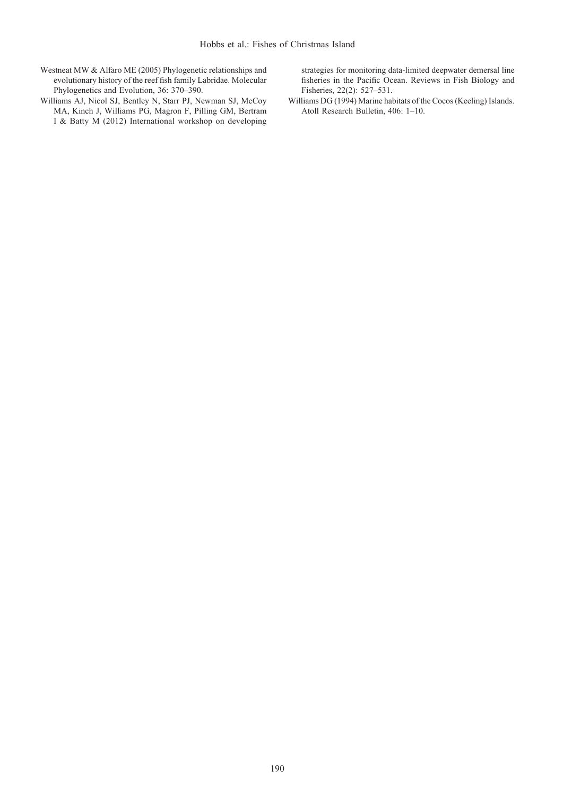- Westneat MW & Alfaro ME (2005) Phylogenetic relationships and evolutionary history of the reef fish family Labridae. Molecular Phylogenetics and Evolution, 36: 370–390.
- Williams AJ, Nicol SJ, Bentley N, Starr PJ, Newman SJ, McCoy MA, Kinch J, Williams PG, Magron F, Pilling GM, Bertram I & Batty M (2012) International workshop on developing

strategies for monitoring data-limited deepwater demersal line fisheries in the Pacific Ocean. Reviews in Fish Biology and Fisheries, 22(2): 527–531.

Williams DG (1994) Marine habitats of the Cocos (Keeling) Islands. Atoll Research Bulletin, 406: 1–10.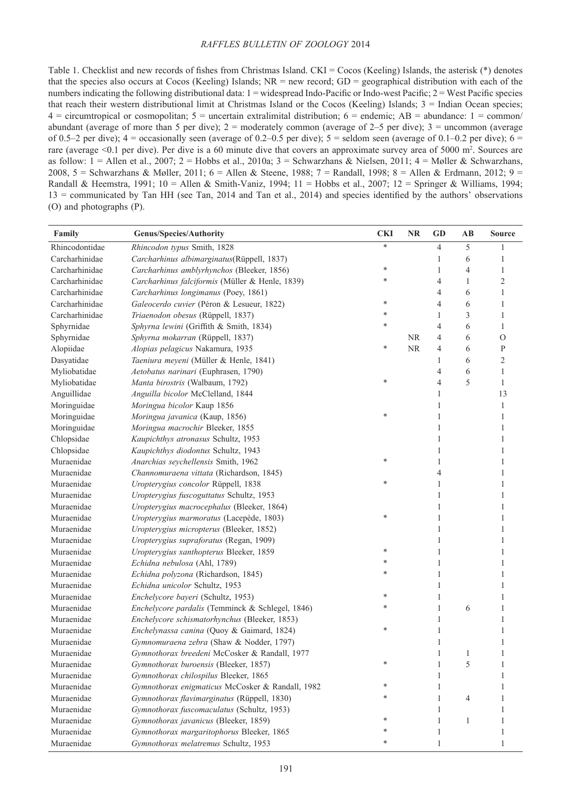Table 1. Checklist and new records of fishes from Christmas Island. CKI = Cocos (Keeling) Islands, the asterisk (\*) denotes that the species also occurs at Cocos (Keeling) Islands;  $NR = new record$ ;  $GD = geographical distribution$  with each of the numbers indicating the following distributional data:  $1 =$  widespread Indo-Pacific or Indo-west Pacific;  $2 =$  West Pacific species that reach their western distributional limit at Christmas Island or the Cocos (Keeling) Islands;  $3 =$  Indian Ocean species;  $4 =$  circumtropical or cosmopolitan;  $5 =$  uncertain extralimital distribution;  $6 =$  endemic;  $AB =$  abundance:  $1 =$  common/ abundant (average of more than 5 per dive);  $2 =$  moderately common (average of  $2-5$  per dive);  $3 =$  uncommon (average of 0.5–2 per dive);  $4 =$  occasionally seen (average of 0.2–0.5 per dive);  $5 =$  seldom seen (average of 0.1–0.2 per dive);  $6 =$ rare (average  $\leq 0.1$  per dive). Per dive is a 60 minute dive that covers an approximate survey area of 5000 m<sup>2</sup>. Sources are as follow:  $1 =$  Allen et al., 2007;  $2 =$  Hobbs et al., 2010a;  $3 =$  Schwarzhans & Nielsen, 2011;  $4 =$  Møller & Schwarzhans, 2008, 5 = Schwarzhans & Møller, 2011; 6 = Allen & Steene, 1988; 7 = Randall, 1998; 8 = Allen & Erdmann, 2012; 9 = Randall & Heemstra, 1991; 10 = Allen & Smith-Vaniz, 1994; 11 = Hobbs et al., 2007; 12 = Springer & Williams, 1994; 13 = communicated by Tan HH (see Tan, 2014 and Tan et al., 2014) and species identified by the authors' observations (O) and photographs (P).

| Family         | <b>Genus/Species/Authority</b>                   | <b>CKI</b> | <b>NR</b> | <b>GD</b>      | AB             | <b>Source</b>  |
|----------------|--------------------------------------------------|------------|-----------|----------------|----------------|----------------|
| Rhincodontidae | Rhincodon typus Smith, 1828                      | *          |           | $\overline{4}$ | 5              |                |
| Carcharhinidae | Carcharhinus albimarginatus(Rüppell, 1837)       |            |           | 1              | 6              | 1              |
| Carcharhinidae | Carcharhinus amblyrhynchos (Bleeker, 1856)       | *          |           | 1              | $\overline{4}$ | 1              |
| Carcharhinidae | Carcharhinus falciformis (Müller & Henle, 1839)  | *          |           | $\overline{4}$ | 1              | $\overline{2}$ |
| Carcharhinidae | Carcharhinus longimanus (Poey, 1861)             |            |           | $\overline{4}$ | 6              | 1              |
| Carcharhinidae | Galeocerdo cuvier (Péron & Lesueur, 1822)        | *          |           | $\overline{4}$ | 6              | 1              |
| Carcharhinidae | Triaenodon obesus (Rüppell, 1837)                | *          |           | 1              | 3              | 1              |
| Sphyrnidae     | Sphyrna lewini (Griffith & Smith, 1834)          | *          |           | $\overline{4}$ | 6              | $\mathbf{1}$   |
| Sphyrnidae     | Sphyrna mokarran (Rüppell, 1837)                 |            | <b>NR</b> | $\overline{4}$ | 6              | $\mathcal{O}$  |
| Alopiidae      | Alopias pelagicus Nakamura, 1935                 | *          | <b>NR</b> | $\overline{4}$ | 6              | $\mathbf{P}$   |
| Dasyatidae     | Taeniura meyeni (Müller & Henle, 1841)           |            |           | 1              | 6              | $\mathfrak{2}$ |
| Myliobatidae   | Aetobatus narinari (Euphrasen, 1790)             |            |           | $\overline{4}$ | 6              | $\mathbf{1}$   |
| Myliobatidae   | Manta birostris (Walbaum, 1792)                  | *          |           | $\overline{4}$ | 5              | $\mathbf{1}$   |
| Anguillidae    | Anguilla bicolor McClelland, 1844                |            |           | 1              |                | 13             |
| Moringuidae    | Moringua bicolor Kaup 1856                       |            |           | $\mathbf{1}$   |                | $\mathbf{1}$   |
| Moringuidae    | Moringua javanica (Kaup, 1856)                   | *          |           | $\mathbf{1}$   |                | 1              |
| Moringuidae    | Moringua macrochir Bleeker, 1855                 |            |           | 1              |                | 1              |
| Chlopsidae     | Kaupichthys atronasus Schultz, 1953              |            |           | $\mathbf{1}$   |                | 1              |
| Chlopsidae     | Kaupichthys diodontus Schultz, 1943              |            |           | 1              |                | 1              |
| Muraenidae     | Anarchias seychellensis Smith, 1962              | *          |           | $\mathbf{1}$   |                | 1              |
| Muraenidae     | Channomuraena vittata (Richardson, 1845)         |            |           | 4              |                | 1              |
| Muraenidae     | Uropterygius concolor Rüppell, 1838              | *          |           | $\mathbf{1}$   |                | 1              |
| Muraenidae     | Uropterygius fuscoguttatus Schultz, 1953         |            |           | 1              |                | 1              |
| Muraenidae     | Uropterygius macrocephalus (Bleeker, 1864)       |            |           | 1              |                | 1              |
| Muraenidae     | Uropterygius marmoratus (Lacepède, 1803)         | *          |           | 1              |                | 1              |
| Muraenidae     | Uropterygius micropterus (Bleeker, 1852)         |            |           | 1              |                | 1              |
| Muraenidae     | Uropterygius supraforatus (Regan, 1909)          |            |           | 1              |                | 1              |
| Muraenidae     | Uropterygius xanthopterus Bleeker, 1859          | *          |           | 1              |                | 1              |
| Muraenidae     | Echidna nebulosa (Ahl, 1789)                     | *          |           | 1              |                | 1              |
| Muraenidae     | Echidna polyzona (Richardson, 1845)              | *          |           | 1              |                | 1              |
| Muraenidae     | Echidna unicolor Schultz, 1953                   |            |           | 1              |                | 1              |
| Muraenidae     | Enchelycore bayeri (Schultz, 1953)               | *          |           | 1              |                | 1              |
| Muraenidae     | Enchelycore pardalis (Temminck & Schlegel, 1846) |            |           | 1              | 6              | 1              |
| Muraenidae     | Enchelycore schismatorhynchus (Bleeker, 1853)    |            |           | 1              |                | 1              |
| Muraenidae     | Enchelynassa canina (Quoy & Gaimard, 1824)       | ×          |           | 1              |                | 1              |
| Muraenidae     | Gymnomuraena zebra (Shaw & Nodder, 1797)         |            |           | 1              |                | 1              |
| Muraenidae     | Gymnothorax breedeni McCosker & Randall, 1977    |            |           | $\mathbf{1}$   | 1              | $\mathbf{1}$   |
| Muraenidae     | Gymnothorax buroensis (Bleeker, 1857)            | ×          |           | 1              | 5              | 1              |
| Muraenidae     | Gymnothorax chilospilus Bleeker, 1865            |            |           | 1              |                |                |
| Muraenidae     | Gymnothorax enigmaticus McCosker & Randall, 1982 |            |           | 1              |                |                |
| Muraenidae     | Gymnothorax flavimarginatus (Rüppell, 1830)      |            |           | 1              | 4              |                |
| Muraenidae     | Gymnothorax fuscomaculatus (Schultz, 1953)       |            |           | 1              |                | 1              |
| Muraenidae     | Gymnothorax javanicus (Bleeker, 1859)            |            |           | 1              | 1              | 1              |
| Muraenidae     | Gymnothorax margaritophorus Bleeker, 1865        |            |           | 1              |                | 1              |
| Muraenidae     | Gymnothorax melatremus Schultz, 1953             | *          |           | $\mathbf{1}$   |                | 1              |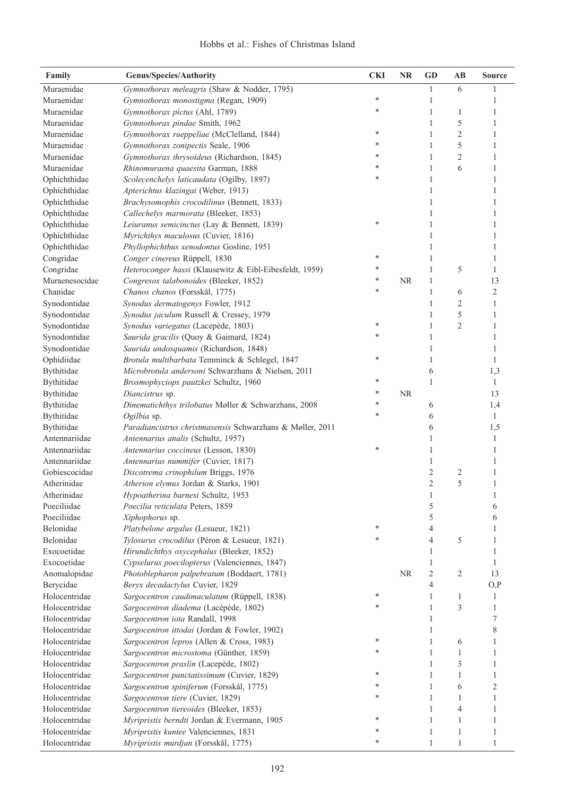| Family                         | <b>Genus/Species/Authority</b>                                                       | <b>CKI</b> | <b>NR</b> | <b>GD</b>      | $\mathbf{A}\mathbf{B}$ | <b>Source</b> |
|--------------------------------|--------------------------------------------------------------------------------------|------------|-----------|----------------|------------------------|---------------|
| Muraenidae                     | Gymnothorax meleagris (Shaw & Nodder, 1795)                                          |            |           | 1              | 6                      |               |
| Muraenidae                     | Gymnothorax monostigma (Regan, 1909)                                                 | $\ast$     |           | 1              |                        | 1             |
| Muraenidae                     | Gymnothorax pictus (Ahl, 1789)                                                       | $\ast$     |           | $\mathbf{1}$   | 1                      | 1             |
| Muraenidae                     | Gymnothorax pindae Smith, 1962                                                       |            |           | $\,1\,$        | 5                      | $\mathbf{1}$  |
| Muraenidae                     | Gymnothorax rueppeliae (McClelland, 1844)                                            | ∗          |           | $\mathbf{1}$   | $\overline{c}$         | $\mathbf{1}$  |
| Muraenidae                     | Gymnothorax zonipectis Seale, 1906                                                   | *          |           | $\mathbf{1}$   | 5                      | $\mathbf{1}$  |
| Muraenidae                     | Gymnothorax thrysoideus (Richardson, 1845)                                           | *          |           | $\mathbf{1}$   | $\overline{c}$         | $\mathbf{1}$  |
| Muraenidae                     | Rhinomuraena quaesita Garman, 1888                                                   | *          |           | $\mathbf{1}$   | 6                      | $\mathbf{1}$  |
| Ophichthidae                   | Scolecenchelys laticaudata (Ogilby, 1897)                                            | *          |           | $\mathbf{1}$   |                        | 1             |
| Ophichthidae                   | Apterichtus klazingai (Weber, 1913)                                                  |            |           | $\mathbf{1}$   |                        | 1             |
| Ophichthidae                   | Brachysomophis crocodilinus (Bennett, 1833)                                          |            |           | 1              |                        | 1             |
| Ophichthidae                   | Callechelys marmorata (Bleeker, 1853)                                                |            |           | 1              |                        | 1             |
| Ophichthidae                   | Leiuranus semicinctus (Lay & Bennett, 1839)                                          | $\ast$     |           | 1              |                        | 1             |
| Ophichthidae                   | Myrichthys maculosus (Cuvier, 1816)                                                  |            |           | 1              |                        | 1             |
| Ophichthidae                   | Phyllophichthus xenodontus Gosline, 1951                                             |            |           | 1              |                        | 1             |
| Congridae                      | Conger cinereus Rüppell, 1830                                                        | ∗          |           | 1              |                        | 1             |
| Congridae                      | Heteroconger hassi (Klausewitz & Eibl-Eibesfeldt, 1959)                              | *          |           | $\mathbf{1}$   | 5                      | 1             |
| Muraenesocidae                 | Congresox talabonoides (Bleeker, 1852)                                               | ∗          | NR        | $\mathbf{1}$   |                        | 13            |
| Chanidae                       | Chanos chanos (Forsskål, 1775)                                                       | $\ast$     |           | $\mathbf{1}$   | 6                      | $\sqrt{2}$    |
| Synodontidae                   | Synodus dermatogenys Fowler, 1912                                                    |            |           | 1              | $\overline{2}$         | 1             |
| Synodontidae                   | Synodus jaculum Russell & Cressey, 1979                                              |            |           | 1              | 5                      | 1             |
| Synodontidae                   | Synodus variegatus (Lacepède, 1803)                                                  | ∗          |           | 1              | $\overline{c}$         | 1             |
| Synodontidae                   | Saurida gracilis (Quoy & Gaimard, 1824)                                              | $\ast$     |           | 1              |                        | 1             |
| Synodontidae                   | Saurida undosquamis (Richardson, 1848)                                               |            |           | 1              |                        | 1             |
| Ophidiidae                     | Brotula multibarbata Temminck & Schlegel, 1847                                       | ∗          |           | 1              |                        | 1             |
| Bythitidae                     | Microbrotula andersoni Schwarzhans & Nielsen, 2011                                   |            |           | 6              |                        | 1,3           |
| Bythitidae                     | Brosmophyciops pautzkei Schultz, 1960                                                | ∗          |           | $\mathbf{1}$   |                        | 1             |
| Bythitidae                     | Diancistrus sp.                                                                      | ∗          | NR        |                |                        | 13            |
| Bythitidae                     | Dinematichthys trilobatus Møller & Schwarzhans, 2008                                 | *          |           | 6              |                        | 1,4           |
| Bythitidae                     | Ogilbia sp.                                                                          | *          |           | 6              |                        | $\mathbf{1}$  |
| Bythitidae                     | Paradiancistrus christmasensis Schwarzhans & Møller, 2011                            |            |           | 6              |                        | 1,5           |
| Antennariidae                  | Antennarius analis (Schultz, 1957)                                                   |            |           | 1              |                        | 1             |
| Antennariidae                  | Antennarius coccineus (Lesson, 1830)                                                 | *          |           | 1              |                        | 1             |
| Antennariidae                  | Antennarius nummifer (Cuvier, 1817)                                                  |            |           | 1              |                        | 1             |
| Gobiescocidae                  | Discotrema crinophilum Briggs, 1976                                                  |            |           | $\overline{2}$ | 2                      | 1             |
| Atherinidae                    | Atherion elymus Jordan & Starks, 1901                                                |            |           | $\overline{2}$ | 5                      | 1             |
| Atherinidae                    | Hypoatherina barnesi Schultz, 1953                                                   |            |           | 1              |                        | 1             |
| Poeciliidae                    | Poecilia reticulata Peters, 1859                                                     |            |           | 5              |                        | 6             |
| Poeciliidae                    | Xiphophorus sp.                                                                      |            |           | 5              |                        | 6             |
| Belonidae                      | Platybelone argalus (Lesueur, 1821)                                                  | ∗          |           | 4              |                        | 1             |
| Belonidae                      | Tylosurus crocodilus (Péron & Lesueur, 1821)                                         | *          |           | $\overline{4}$ | 5                      | 1             |
| Exocoetidae                    | Hirundichthys oxycephalus (Bleeker, 1852)                                            |            |           | 1              |                        | 1             |
| Exocoetidae                    | Cypselurus poecilopterus (Valenciennes, 1847)                                        |            |           | $\mathbf{1}$   |                        | 1             |
| Anomalopidae                   | Photoblepharon palpebratum (Boddaert, 1781)                                          |            | <b>NR</b> | $\overline{2}$ | 2                      | 13            |
| Berycidae                      | Beryx decadactylus Cuvier, 1829                                                      |            |           | 4              |                        | O, P          |
| Holocentridae                  | Sargocentron caudimaculatum (Rüppell, 1838)                                          | ∗          |           | 1              | 1                      | 1             |
| Holocentridae                  | Sargocentron diadema (Lacépède, 1802)                                                | *          |           | 1              | 3                      | 1             |
| Holocentridae                  | Sargocentron iota Randall, 1998                                                      |            |           | 1              |                        | 7             |
| Holocentridae                  | Sargocentron ittodai (Jordan & Fowler, 1902)                                         |            |           | 1              |                        | 8             |
| Holocentridae                  | Sargocentron lepros (Allen & Cross, 1983)                                            | $\ast$     |           | $\mathbf{1}$   | 6                      | 1             |
| Holocentridae                  | Sargocentron microstoma (Günther, 1859)                                              | ∗          |           | $\mathbf{1}$   | 1                      | 1             |
| Holocentridae                  | Sargocentron praslin (Lacepède, 1802)                                                |            |           | 1              | 3                      | 1             |
| Holocentridae                  | Sargocentron punctatissimum (Cuvier, 1829)                                           | *          |           | 1              | 1                      | 1             |
| Holocentridae                  | Sargocentron spiniferum (Forsskål, 1775)                                             | *<br>*     |           | $\mathbf{1}$   | 6                      | 2             |
| Holocentridae                  | Sargocentron tiere (Cuvier, 1829)                                                    |            |           | 1              | 1                      | 1             |
| Holocentridae                  | Sargocentron tiereoides (Bleeker, 1853)                                              | *          |           | 1              | 4                      | 1             |
| Holocentridae<br>Holocentridae | Myripristis berndti Jordan & Evermann, 1905<br>Myripristis kuntee Valenciennes, 1831 | ∗          |           | 1<br>1         | 1<br>1                 | 1<br>1        |
| Holocentridae                  | Myripristis murdjan (Forsskål, 1775)                                                 | $\ast$     |           | $\mathbf{1}$   | 1                      | 1             |
|                                |                                                                                      |            |           |                |                        |               |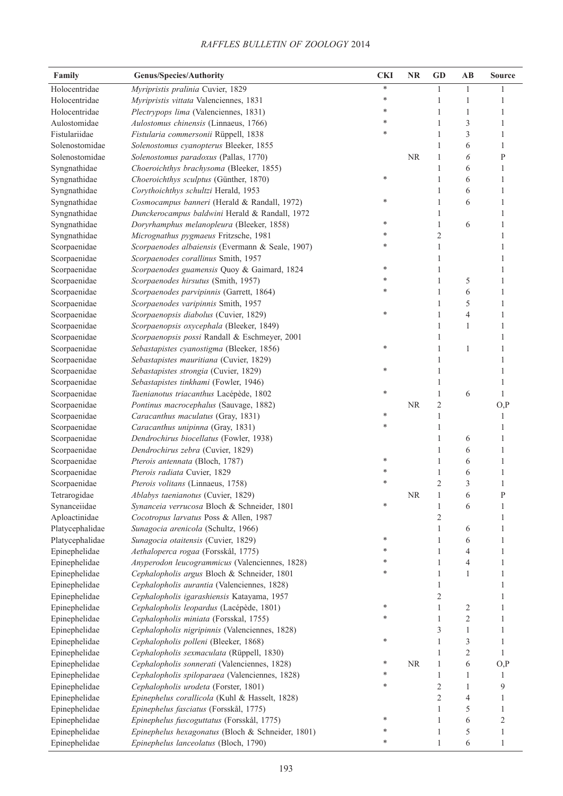| Family          | <b>Genus/Species/Authority</b>                    | <b>CKI</b> | <b>NR</b> | <b>GD</b>      | $\mathbf{AB}$  | <b>Source</b> |
|-----------------|---------------------------------------------------|------------|-----------|----------------|----------------|---------------|
| Holocentridae   | Myripristis pralinia Cuvier, 1829                 | $\ast$     |           | $\mathbf{1}$   | 1              | 1             |
| Holocentridae   | Myripristis vittata Valenciennes, 1831            | $\ast$     |           | $\mathbf{1}$   | $\mathbf{1}$   | 1             |
| Holocentridae   | Plectrypops lima (Valenciennes, 1831)             | $\ast$     |           | $\mathbf{1}$   | $\mathbf{1}$   | $\mathbf{1}$  |
| Aulostomidae    | Aulostomus chinensis (Linnaeus, 1766)             | *          |           | $\,1$          | 3              | $\mathbf{1}$  |
| Fistulariidae   | Fistularia commersonii Rüppell, 1838              | $\ast$     |           | $\mathbf{1}$   | 3              | $\mathbf{1}$  |
| Solenostomidae  | Solenostomus cyanopterus Bleeker, 1855            |            |           | $\mathbf{1}$   | 6              | 1             |
| Solenostomidae  | Solenostomus paradoxus (Pallas, 1770)             |            | <b>NR</b> | $\mathbf{1}$   | 6              | $\mathbf{P}$  |
| Syngnathidae    | Choeroichthys brachysoma (Bleeker, 1855)          |            |           | $\mathbf{1}$   | 6              | 1             |
| Syngnathidae    | Choeroichthys sculptus (Günther, 1870)            | $\ast$     |           | $\mathbf{1}$   | 6              | 1             |
| Syngnathidae    | Corythoichthys schultzi Herald, 1953              |            |           | $\mathbf{1}$   | 6              | 1             |
| Syngnathidae    | Cosmocampus banneri (Herald & Randall, 1972)      | $\ast$     |           | $\mathbf{1}$   | 6              | 1             |
| Syngnathidae    | Dunckerocampus baldwini Herald & Randall, 1972    |            |           | $\mathbf{1}$   |                | $\mathbf{1}$  |
| Syngnathidae    | Doryrhamphus melanopleura (Bleeker, 1858)         | ∗          |           | $\mathbf{1}$   | 6              | 1             |
| Syngnathidae    | Micrognathus pygmaeus Fritzsche, 1981             | ∗          |           | $\sqrt{2}$     |                | 1             |
| Scorpaenidae    | Scorpaenodes albaiensis (Evermann & Seale, 1907)  | $\ast$     |           | $\mathbf{1}$   |                | $\mathbf{1}$  |
| Scorpaenidae    | Scorpaenodes corallinus Smith, 1957               |            |           | $\mathbf{1}$   |                | 1             |
| Scorpaenidae    | Scorpaenodes guamensis Quoy & Gaimard, 1824       | *          |           | $\mathbf{1}$   |                | $\mathbf{1}$  |
| Scorpaenidae    | Scorpaenodes hirsutus (Smith, 1957)               | *          |           | $\mathbf{1}$   | 5              | 1             |
| Scorpaenidae    | Scorpaenodes parvipinnis (Garrett, 1864)          | *          |           | $\mathbf{1}$   | 6              | 1             |
| Scorpaenidae    | Scorpaenodes varipinnis Smith, 1957               |            |           | $\mathbf{1}$   | 5              | 1             |
| Scorpaenidae    | Scorpaenopsis diabolus (Cuvier, 1829)             | $\ast$     |           | $\mathbf{1}$   | $\overline{4}$ | 1             |
| Scorpaenidae    | Scorpaenopsis oxycephala (Bleeker, 1849)          |            |           | $\mathbf{1}$   | $\mathbf{1}$   | 1             |
| Scorpaenidae    | Scorpaenopsis possi Randall & Eschmeyer, 2001     |            |           | $\mathbf{1}$   |                | 1             |
| Scorpaenidae    | Sebastapistes cyanostigma (Bleeker, 1856)         | ∗          |           | $\mathbf{1}$   | 1              | 1             |
| Scorpaenidae    | Sebastapistes mauritiana (Cuvier, 1829)           |            |           | $\mathbf{1}$   |                | 1             |
| Scorpaenidae    | Sebastapistes strongia (Cuvier, 1829)             | ∗          |           | $\mathbf{1}$   |                | 1             |
| Scorpaenidae    | Sebastapistes tinkhami (Fowler, 1946)             |            |           | $\mathbf{1}$   |                | 1             |
| Scorpaenidae    | Taenianotus triacanthus Lacépède, 1802            | ∗          |           | $\mathbf{1}$   | 6              | $\mathbf{1}$  |
| Scorpaenidae    | Pontinus macrocephalus (Sauvage, 1882)            |            | <b>NR</b> | $\mathfrak{2}$ |                | O, P          |
| Scorpaenidae    | Caracanthus maculatus (Gray, 1831)                | *          |           | 1              |                | 1             |
| Scorpaenidae    | Caracanthus unipinna (Gray, 1831)                 | *          |           | $\mathbf{1}$   |                | 1             |
| Scorpaenidae    | Dendrochirus biocellatus (Fowler, 1938)           |            |           | $\mathbf{1}$   | 6              | 1             |
| Scorpaenidae    | Dendrochirus zebra (Cuvier, 1829)                 |            |           | 1              | 6              | 1             |
| Scorpaenidae    | Pterois antennata (Bloch, 1787)                   | *          |           | 1              | 6              | 1             |
| Scorpaenidae    | Pterois radiata Cuvier, 1829                      | *          |           | $\mathbf{1}$   | 6              | 1             |
| Scorpaenidae    | Pterois volitans (Linnaeus, 1758)                 | *          |           | $\overline{2}$ | 3              | $\mathbf{1}$  |
| Tetrarogidae    | Ablabys taenianotus (Cuvier, 1829)                |            | $\rm NR$  | $\mathbf{1}$   | 6              | P             |
| Synanceiidae    | Synanceia verrucosa Bloch & Schneider, 1801       | *          |           | $\mathbf{1}$   | 6              | 1             |
| Aploactinidae   | Cocotropus larvatus Poss & Allen, 1987            |            |           | $\sqrt{2}$     |                | 1             |
| Platycephalidae | Sunagocia arenicola (Schultz, 1966)               |            |           | $\mathbf{1}$   | 6              | 1             |
| Platycephalidae | Sunagocia otaitensis (Cuvier, 1829)               | *          |           | $\mathbf{1}$   | 6              | 1             |
| Epinephelidae   | Aethaloperca rogaa (Forsskål, 1775)               | *          |           | $\mathbf{1}$   | 4              | 1             |
| Epinephelidae   | Anyperodon leucogrammicus (Valenciennes, 1828)    | *          |           | $\mathbf{1}$   | 4              | 1             |
| Epinephelidae   | Cephalopholis argus Bloch & Schneider, 1801       | *          |           | $\mathbf{1}$   | 1              | $\mathbf{1}$  |
| Epinephelidae   | Cephalopholis aurantia (Valenciennes, 1828)       |            |           | $\mathbf{1}$   |                | 1             |
| Epinephelidae   | Cephalopholis igarashiensis Katayama, 1957        |            |           | $\sqrt{2}$     |                | 1             |
| Epinephelidae   | Cephalopholis leopardus (Lacépède, 1801)          | ∗          |           | $\mathbf{1}$   | $\overline{c}$ | 1             |
| Epinephelidae   | Cephalopholis miniata (Forsskal, 1755)            | *          |           | $\mathbf{1}$   | $\overline{c}$ | 1             |
| Epinephelidae   | Cephalopholis nigripinnis (Valenciennes, 1828)    |            |           | 3              | 1              | $\mathbf{1}$  |
| Epinephelidae   | Cephalopholis polleni (Bleeker, 1868)             | $\ast$     |           | $\mathbf{1}$   | 3              | 1             |
| Epinephelidae   | Cephalopholis sexmaculata (Rüppell, 1830)         |            |           | $\mathbf{1}$   | $\mathbf{2}$   | 1             |
| Epinephelidae   | Cephalopholis sonnerati (Valenciennes, 1828)      | ∗          | $\rm NR$  | $\mathbf{1}$   | 6              | O, P          |
| Epinephelidae   | Cephalopholis spiloparaea (Valenciennes, 1828)    | *          |           | $\mathbf{1}$   | 1              | 1             |
| Epinephelidae   | Cephalopholis urodeta (Forster, 1801)             | $\ast$     |           | $\sqrt{2}$     | $\mathbf{1}$   | 9             |
| Epinephelidae   | Epinephelus corallicola (Kuhl & Hasselt, 1828)    |            |           | $\overline{c}$ | 4              | 1             |
| Epinephelidae   | Epinephelus fasciatus (Forsskål, 1775)            |            |           | $\mathbf{1}$   | 5              | $\mathbf{1}$  |
| Epinephelidae   | Epinephelus fuscoguttatus (Forsskål, 1775)        | *          |           | $\mathbf{1}$   | 6              | $\sqrt{2}$    |
| Epinephelidae   | Epinephelus hexagonatus (Bloch & Schneider, 1801) | *          |           | $\mathbf{1}$   | 5              | $\mathbf{1}$  |
| Epinephelidae   | Epinephelus lanceolatus (Bloch, 1790)             | $\ast$     |           | 1              | 6              | 1             |
|                 |                                                   |            |           |                |                |               |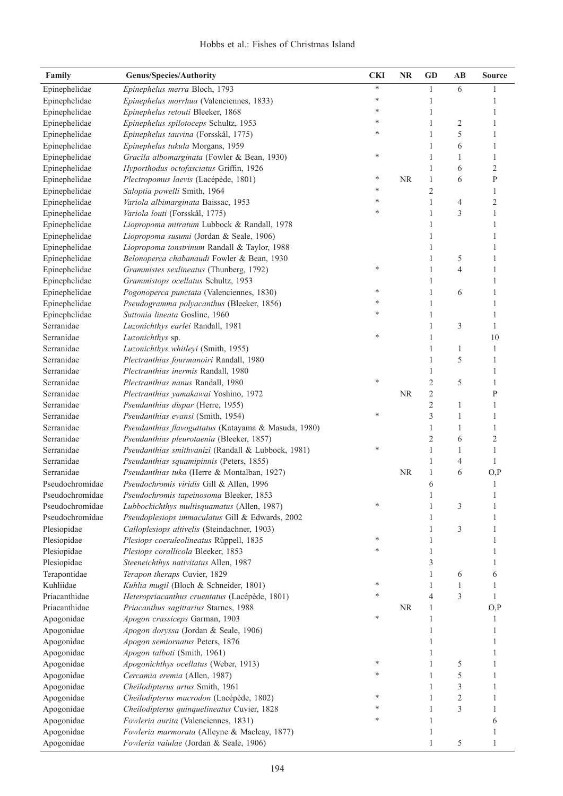| Family                             | <b>Genus/Species/Authority</b>                                                                  | <b>CKI</b> | <b>NR</b> | GD             | AB             | Source         |
|------------------------------------|-------------------------------------------------------------------------------------------------|------------|-----------|----------------|----------------|----------------|
| Epinephelidae                      | Epinephelus merra Bloch, 1793                                                                   | $\ast$     |           | $\mathbf{1}$   | 6              | 1              |
| Epinephelidae                      | Epinephelus morrhua (Valenciennes, 1833)                                                        | *          |           | 1              |                | 1              |
| Epinephelidae                      | Epinephelus retouti Bleeker, 1868                                                               | *          |           | 1              |                | 1              |
| Epinephelidae                      | Epinephelus spilotoceps Schultz, 1953                                                           | *          |           | 1              | 2              | 1              |
| Epinephelidae                      | Epinephelus tauvina (Forsskål, 1775)                                                            | *          |           | 1              | 5              | 1              |
| Epinephelidae                      | Epinephelus tukula Morgans, 1959                                                                |            |           | 1              | 6              | 1              |
| Epinephelidae                      | Gracila albomarginata (Fowler & Bean, 1930)                                                     | *          |           | 1              | 1              | 1              |
| Epinephelidae                      | Hyporthodus octofasciatus Griffin, 1926                                                         |            |           | 1              | 6              | $\overline{2}$ |
| Epinephelidae                      | Plectropomus laevis (Lacépède, 1801)                                                            | ∗          | <b>NR</b> | 1              | 6              | $\mathbf{P}$   |
| Epinephelidae                      | Saloptia powelli Smith, 1964                                                                    | *          |           | $\overline{c}$ |                | 1              |
| Epinephelidae                      | Variola albimarginata Baissac, 1953                                                             | *          |           | 1              | 4              | $\overline{c}$ |
| Epinephelidae                      | Variola louti (Forsskål, 1775)                                                                  | *          |           | 1              | 3              | 1              |
| Epinephelidae                      | Liopropoma mitratum Lubbock & Randall, 1978                                                     |            |           | 1              |                | 1              |
| Epinephelidae                      | Liopropoma susumi (Jordan & Seale, 1906)                                                        |            |           | 1              |                | 1              |
| Epinephelidae                      | Liopropoma tonstrinum Randall & Taylor, 1988                                                    |            |           | 1              |                | 1              |
| Epinephelidae                      | Belonoperca chabanaudi Fowler & Bean, 1930                                                      |            |           | 1              | 5              | 1              |
| Epinephelidae                      | Grammistes sexlineatus (Thunberg, 1792)                                                         | *          |           | 1              | 4              | 1              |
| Epinephelidae                      | Grammistops ocellatus Schultz, 1953                                                             |            |           | 1              |                | 1              |
| Epinephelidae                      | Pogonoperca punctata (Valenciennes, 1830)                                                       | *          |           | 1              | 6              | 1              |
| Epinephelidae                      | Pseudogramma polyacanthus (Bleeker, 1856)                                                       | *          |           | 1              |                | 1              |
| Epinephelidae                      | Suttonia lineata Gosline, 1960                                                                  | ×          |           | 1              |                | 1              |
| Serranidae                         | Luzonichthys earlei Randall, 1981                                                               |            |           | 1              | 3              | 1              |
| Serranidae                         | Luzonichthys sp.                                                                                | *          |           | 1              |                | 10             |
| Serranidae                         | Luzonichthys whitleyi (Smith, 1955)                                                             |            |           | 1              | 1              | 1              |
| Serranidae                         | Plectranthias fourmanoiri Randall, 1980                                                         |            |           | 1              | 5              | 1              |
| Serranidae                         | Plectranthias inermis Randall, 1980                                                             |            |           | 1              |                | 1              |
| Serranidae                         | Plectranthias nanus Randall, 1980                                                               | *          |           | $\overline{c}$ | 5              | 1              |
| Serranidae                         | Plectranthias yamakawai Yoshino, 1972                                                           |            | <b>NR</b> | 2              |                | $\mathbf{P}$   |
| Serranidae                         | Pseudanthias dispar (Herre, 1955)                                                               |            |           | $\overline{c}$ | 1              | 1              |
| Serranidae                         | Pseudanthias evansi (Smith, 1954)                                                               | *          |           | 3              | 1              | 1              |
| Serranidae                         | Pseudanthias flavoguttatus (Katayama & Masuda, 1980)                                            |            |           | 1              | 1              | 1              |
| Serranidae                         | Pseudanthias pleurotaenia (Bleeker, 1857)                                                       |            |           | 2              | 6              | $\overline{2}$ |
| Serranidae                         | Pseudanthias smithvanizi (Randall & Lubbock, 1981)                                              | ∗          |           | 1              | 1              | 1              |
| Serranidae                         | Pseudanthias squamipinnis (Peters, 1855)                                                        |            |           | 1              | 4              | 1              |
| Serranidae                         | Pseudanthias tuka (Herre & Montalban, 1927)                                                     |            | <b>NR</b> | 1              | 6              | O, P           |
| Pseudochromidae                    | Pseudochromis viridis Gill & Allen, 1996                                                        |            |           | 6              |                | 1              |
| Pseudochromidae                    | Pseudochromis tapeinosoma Bleeker, 1853                                                         |            |           | 1              |                |                |
| Pseudochromidae<br>Pseudochromidae | Lubbockichthys multisquamatus (Allen, 1987)                                                     |            |           | 1              | 3              |                |
| Plesiopidae                        | Pseudoplesiops immaculatus Gill & Edwards, 2002<br>Calloplesiops altivelis (Steindachner, 1903) |            |           | 1<br>1         | 3              | 1              |
| Plesiopidae                        | Plesiops coeruleolineatus Rüppell, 1835                                                         | *          |           | 1              |                | 1              |
| Plesiopidae                        | Plesiops corallicola Bleeker, 1853                                                              | ∗          |           | 1              |                | 1              |
| Plesiopidae                        | Steeneichthys nativitatus Allen, 1987                                                           |            |           | 3              |                | 1              |
| Terapontidae                       | Terapon theraps Cuvier, 1829                                                                    |            |           | 1              | 6              | 6              |
| Kuhliidae                          | Kuhlia mugil (Bloch & Schneider, 1801)                                                          | *          |           | 1              | $\mathbf{1}$   | 1              |
| Priacanthidae                      | Heteropriacanthus cruentatus (Lacépède, 1801)                                                   | *          |           | $\overline{4}$ | 3              | $\mathbf{1}$   |
| Priacanthidae                      | Priacanthus sagittarius Starnes, 1988                                                           |            | <b>NR</b> | 1              |                | O, P           |
| Apogonidae                         | Apogon crassiceps Garman, 1903                                                                  | *          |           | 1              |                | 1              |
| Apogonidae                         | Apogon doryssa (Jordan & Seale, 1906)                                                           |            |           | 1              |                |                |
| Apogonidae                         | Apogon semiornatus Peters, 1876                                                                 |            |           | 1              |                | 1              |
| Apogonidae                         | Apogon talboti (Smith, 1961)                                                                    |            |           | 1              |                | 1              |
| Apogonidae                         | Apogonichthys ocellatus (Weber, 1913)                                                           | *          |           | 1              | 5              | 1              |
| Apogonidae                         | Cercamia eremia (Allen, 1987)                                                                   |            |           | 1              | 5              | 1              |
| Apogonidae                         | Cheilodipterus artus Smith, 1961                                                                |            |           | 1              | 3              | 1              |
| Apogonidae                         | Cheilodipterus macrodon (Lacépède, 1802)                                                        | *          |           | 1              | $\sqrt{2}$     | 1              |
| Apogonidae                         | Cheilodipterus quinquelineatus Cuvier, 1828                                                     | *          |           | 1              | $\mathfrak{Z}$ | 1              |
| Apogonidae                         | Fowleria aurita (Valenciennes, 1831)                                                            | *          |           | 1              |                | 6              |
| Apogonidae                         | Fowleria marmorata (Alleyne & Macleay, 1877)                                                    |            |           | 1              |                |                |
| Apogonidae                         | Fowleria vaiulae (Jordan & Seale, 1906)                                                         |            |           |                | 5              |                |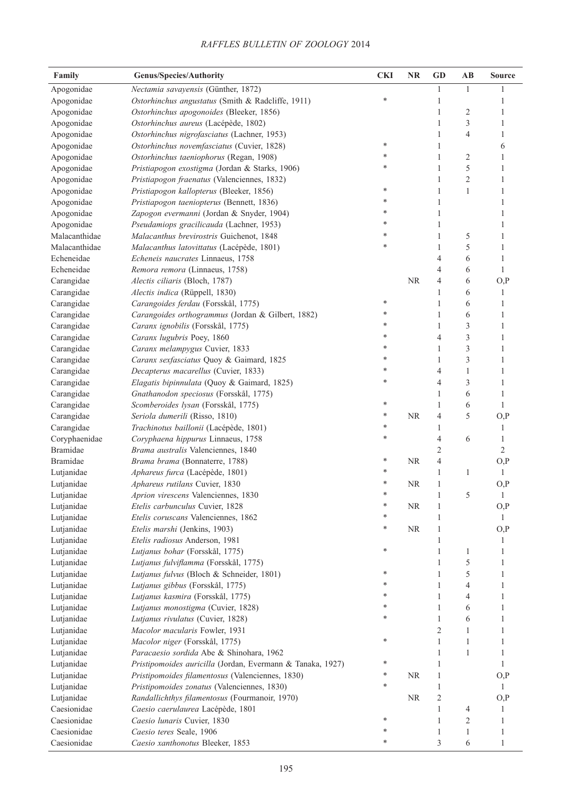| Family                    | <b>Genus/Species/Authority</b>                             | <b>CKI</b> | NR        | <b>GD</b>      | AB             | <b>Source</b> |
|---------------------------|------------------------------------------------------------|------------|-----------|----------------|----------------|---------------|
| Apogonidae                | Nectamia savayensis (Günther, 1872)                        |            |           | 1              | 1              | 1             |
| Apogonidae                | Ostorhinchus angustatus (Smith & Radcliffe, 1911)          | *          |           | 1              |                | 1             |
| Apogonidae                | Ostorhinchus apogonoides (Bleeker, 1856)                   |            |           | 1              | 2              | 1             |
| Apogonidae                | Ostorhinchus aureus (Lacépède, 1802)                       |            |           | 1              | 3              | 1             |
| Apogonidae                | Ostorhinchus nigrofasciatus (Lachner, 1953)                |            |           | 1              | 4              | 1             |
| Apogonidae                | Ostorhinchus novemfasciatus (Cuvier, 1828)                 | *          |           | 1              |                | 6             |
| Apogonidae                | Ostorhinchus taeniophorus (Regan, 1908)                    | *          |           | 1              | $\overline{c}$ | 1             |
| Apogonidae                | Pristiapogon exostigma (Jordan & Starks, 1906)             | *          |           | 1              | 5              | 1             |
| Apogonidae                | Pristiapogon fraenatus (Valenciennes, 1832)                |            |           | 1              | 2              | 1             |
| Apogonidae                | Pristiapogon kallopterus (Bleeker, 1856)                   | *          |           | 1              | $\mathbf{1}$   | 1             |
| Apogonidae                | Pristiapogon taeniopterus (Bennett, 1836)                  | *          |           | 1              |                | 1             |
| Apogonidae                | Zapogon evermanni (Jordan & Snyder, 1904)                  | *          |           | 1              |                | 1             |
| Apogonidae                | Pseudamiops gracilicauda (Lachner, 1953)                   | *          |           | 1              |                | 1             |
| Malacanthidae             | Malacanthus brevirostris Guichenot, 1848                   | *          |           | 1              | 5              | 1             |
| Malacanthidae             | Malacanthus latovittatus (Lacépède, 1801)                  | *          |           | $\mathbf{1}$   | 5              | 1             |
| Echeneidae                | Echeneis naucrates Linnaeus, 1758                          |            |           | 4              | 6              | $\mathbf{1}$  |
| Echeneidae                | Remora remora (Linnaeus, 1758)                             |            |           | 4              | 6              | 1             |
| Carangidae                | Alectis ciliaris (Bloch, 1787)                             |            | <b>NR</b> | 4              | 6              | O, P          |
| Carangidae                | Alectis indica (Rüppell, 1830)                             |            |           | $\mathbf{1}$   | 6              | $\mathbf{1}$  |
| Carangidae                | Carangoides ferdau (Forsskål, 1775)                        | *          |           | $\mathbf{1}$   | 6              | 1             |
| Carangidae                | Carangoides orthogrammus (Jordan & Gilbert, 1882)          | *          |           | $\mathbf{1}$   | 6              | 1             |
| Carangidae                | Caranx ignobilis (Forsskål, 1775)                          | $\ast$     |           | 1              | 3              | 1             |
| Carangidae                | Caranx lugubris Poey, 1860                                 | *          |           | 4              | 3              | 1             |
| Carangidae                | Caranx melampygus Cuvier, 1833                             | *          |           | $\mathbf{1}$   | 3              | 1             |
| Carangidae                | Caranx sexfasciatus Quoy & Gaimard, 1825                   | *          |           | 1              | 3              | 1             |
| Carangidae                | Decapterus macarellus (Cuvier, 1833)                       | *          |           | 4              | $\mathbf{1}$   | 1             |
| Carangidae                | Elagatis bipinnulata (Quoy & Gaimard, 1825)                | *          |           | 4              | 3              | 1             |
|                           |                                                            |            |           | $\mathbf{1}$   | 6              | 1             |
| Carangidae                | Gnathanodon speciosus (Forsskål, 1775)                     | *          |           | $\mathbf{1}$   | 6              | 1             |
| Carangidae                | Scomberoides lysan (Forsskål, 1775)                        | *          | <b>NR</b> | 4              | 5              |               |
| Carangidae                | Seriola dumerili (Risso, 1810)                             | *          |           | $\mathbf{1}$   |                | O, P          |
| Carangidae                | Trachinotus baillonii (Lacépède, 1801)                     | *          |           |                |                | 1             |
| Coryphaenidae<br>Bramidae | Coryphaena hippurus Linnaeus, 1758                         |            |           | 4              | 6              | 1             |
|                           | Brama australis Valenciennes, 1840                         | *          |           | $\sqrt{2}$     |                | $\sqrt{2}$    |
| <b>Bramidae</b>           | Brama brama (Bonnaterre, 1788)                             | *          | <b>NR</b> | 4              |                | O, P          |
| Lutjanidae                | Aphareus furca (Lacépède, 1801)                            | *          |           | $\mathbf{1}$   | 1              | $\mathbf{1}$  |
| Lutjanidae                | Aphareus rutilans Cuvier, 1830                             | *          | <b>NR</b> | 1              |                | O, P          |
| Lutjanidae                | Aprion virescens Valenciennes, 1830                        | *          |           | $\mathbf{1}$   | 5              | $\mathbf{1}$  |
| Lutjanidae                | Etelis carbunculus Cuvier, 1828                            | *          | NR        | 1              |                | O, P          |
| Lutjanidae                | Etelis coruscans Valenciennes, 1862                        | *          |           | 1              |                | 1             |
| Lutjanidae                | Etelis marshi (Jenkins, 1903)                              |            | $\rm NR$  | $\mathbf{1}$   |                | O, P          |
| Lutjanidae                | Etelis radiosus Anderson, 1981                             | *          |           | 1              |                | 1             |
| Lutjanidae                | Lutjanus bohar (Forsskål, 1775)                            |            |           | 1              | 1              | 1             |
| Lutjanidae                | Lutjanus fulviflamma (Forsskål, 1775)                      |            |           | 1              | 5              | 1             |
| Lutjanidae                | Lutjanus fulvus (Bloch & Schneider, 1801)                  | *          |           | 1              | 5              | 1             |
| Lutjanidae                | Lutjanus gibbus (Forsskål, 1775)                           |            |           | $\mathbf{1}$   | 4              | 1             |
| Lutjanidae                | Lutjanus kasmira (Forsskål, 1775)                          |            |           | $\mathbf{1}$   | 4              | 1             |
| Lutjanidae                | Lutjanus monostigma (Cuvier, 1828)                         |            |           | $\mathbf{1}$   | 6              | 1             |
| Lutjanidae                | Lutjanus rivulatus (Cuvier, 1828)                          | *          |           | $\mathbf{1}$   | 6              | 1             |
| Lutjanidae                | Macolor macularis Fowler, 1931                             |            |           | 2              | 1              | 1             |
| Lutjanidae                | Macolor niger (Forsskål, 1775)                             | *          |           | $\mathbf{1}$   | 1              | 1             |
| Lutjanidae                | Paracaesio sordida Abe & Shinohara, 1962                   |            |           | 1              | 1              | 1             |
| Lutjanidae                | Pristipomoides auricilla (Jordan, Evermann & Tanaka, 1927) | ∗          |           | 1              |                | 1             |
| Lutjanidae                | Pristipomoides filamentosus (Valenciennes, 1830)           | ∗          | <b>NR</b> | 1              |                | O, P          |
| Lutjanidae                | Pristipomoides zonatus (Valenciennes, 1830)                | *          |           | 1              |                | $\mathbf{1}$  |
| Lutjanidae                | Randallichthys filamentosus (Fourmanoir, 1970)             |            | <b>NR</b> | $\overline{c}$ |                | O, P          |
| Caesionidae               | Caesio caerulaurea Lacépède, 1801                          |            |           | 1              | 4              | 1             |
| Caesionidae               | Caesio lunaris Cuvier, 1830                                | ∗          |           | 1              | 2              | 1             |
| Caesionidae               | Caesio teres Seale, 1906                                   |            |           | 1              | 1              | 1             |
| Caesionidae               | Caesio xanthonotus Bleeker, 1853                           | *          |           | 3              | 6              | 1             |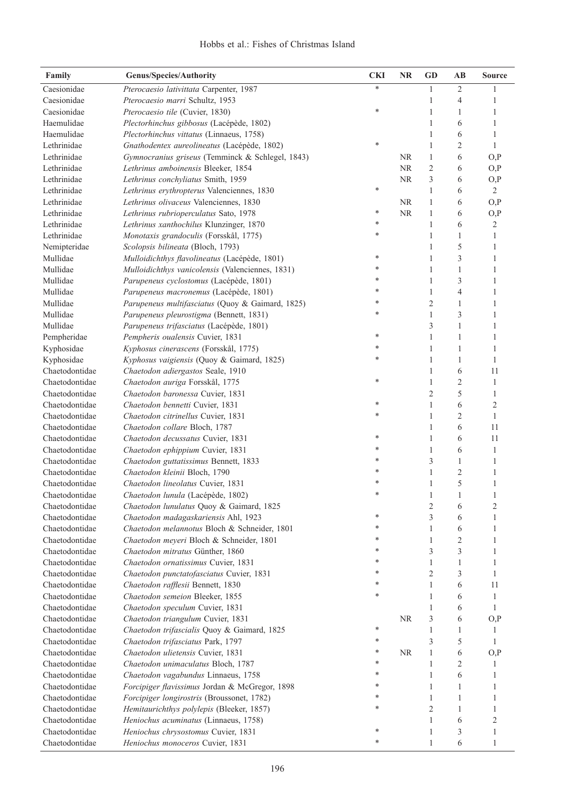| Family                           | <b>Genus/Species/Authority</b>                                          | <b>CKI</b> | <b>NR</b> | <b>GD</b>      | $\mathbf{A}\mathbf{B}$ | <b>Source</b>  |
|----------------------------------|-------------------------------------------------------------------------|------------|-----------|----------------|------------------------|----------------|
| Caesionidae                      | Pterocaesio lativittata Carpenter, 1987                                 | $\ast$     |           | 1              | $\mathfrak{2}$         |                |
| Caesionidae                      | Pterocaesio marri Schultz, 1953                                         |            |           | 1              | $\overline{4}$         | 1              |
| Caesionidae                      | Pterocaesio tile (Cuvier, 1830)                                         | $\ast$     |           | $\mathbf{1}$   | 1                      | 1              |
| Haemulidae                       | Plectorhinchus gibbosus (Lacépède, 1802)                                |            |           | $\mathbf{1}$   | 6                      | $\mathbf{1}$   |
| Haemulidae                       | Plectorhinchus vittatus (Linnaeus, 1758)                                |            |           | $\mathbf{1}$   | 6                      | 1              |
| Lethrinidae                      | Gnathodentex aureolineatus (Lacépède, 1802)                             | ∗          |           | $\mathbf{1}$   | $\mathfrak{2}$         | 1              |
| Lethrinidae                      | Gymnocranius griseus (Temminck & Schlegel, 1843)                        |            | <b>NR</b> | $\mathbf{1}$   | 6                      | O, P           |
| Lethrinidae                      | Lethrinus amboinensis Bleeker, 1854                                     |            | NR        | $\mathfrak{2}$ | 6                      | O, P           |
| Lethrinidae                      | Lethrinus conchyliatus Smith, 1959                                      |            | <b>NR</b> | 3              | 6                      | O, P           |
| Lethrinidae                      | Lethrinus erythropterus Valenciennes, 1830                              | $\ast$     |           | $\mathbf{1}$   | 6                      | $\overline{2}$ |
| Lethrinidae                      | Lethrinus olivaceus Valenciennes, 1830                                  |            | <b>NR</b> | $\mathbf{1}$   | 6                      | O, P           |
| Lethrinidae                      | Lethrinus rubrioperculatus Sato, 1978                                   | $\ast$     | <b>NR</b> | $\mathbf{1}$   | 6                      | O, P           |
| Lethrinidae                      | Lethrinus xanthochilus Klunzinger, 1870                                 | ∗          |           | $\mathbf{1}$   | 6                      | 2              |
| Lethrinidae                      | Monotaxis grandoculis (Forsskål, 1775)                                  | $\ast$     |           | $\mathbf{1}$   | $\mathbf{1}$           | 1              |
| Nemipteridae                     | Scolopsis bilineata (Bloch, 1793)                                       |            |           | $\mathbf{1}$   | 5                      | 1              |
| Mullidae                         | Mulloidichthys flavolineatus (Lacépède, 1801)                           | ∗          |           | $\mathbf{1}$   | 3                      | 1              |
| Mullidae                         | Mulloidichthys vanicolensis (Valenciennes, 1831)                        | *          |           | $\mathbf{1}$   | 1                      | 1              |
| Mullidae                         | Parupeneus cyclostomus (Lacépède, 1801)                                 | *          |           | $\mathbf{1}$   | 3                      | 1              |
| Mullidae                         | Parupeneus macronemus (Lacépède, 1801)                                  | *          |           | $\mathbf{1}$   | 4                      | 1              |
| Mullidae                         | Parupeneus multifasciatus (Quoy & Gaimard, 1825)                        | ∗          |           | $\sqrt{2}$     | 1                      | 1              |
| Mullidae                         | Parupeneus pleurostigma (Bennett, 1831)                                 | $\ast$     |           | $\mathbf{1}$   | 3                      | 1              |
| Mullidae                         | Parupeneus trifasciatus (Lacépède, 1801)                                |            |           | 3              | 1                      | 1              |
| Pempheridae                      | Pempheris oualensis Cuvier, 1831                                        | ∗          |           | $\mathbf{1}$   | 1                      | 1              |
| Kyphosidae                       | Kyphosus cinerascens (Forsskål, 1775)                                   | ∗          |           | 1              | 1                      | 1              |
| Kyphosidae                       | Kyphosus vaigiensis (Quoy & Gaimard, 1825)                              | *          |           | $\mathbf{1}$   | $\mathbf{1}$           | 1              |
| Chaetodontidae                   | Chaetodon adiergastos Seale, 1910                                       |            |           | 1              | 6                      | 11             |
| Chaetodontidae                   | Chaetodon auriga Forsskål, 1775                                         | *          |           | $\mathbf{1}$   | $\overline{c}$         | $\mathbf{1}$   |
| Chaetodontidae                   | Chaetodon baronessa Cuvier, 1831                                        |            |           | $\overline{2}$ | 5                      | 1              |
| Chaetodontidae                   | Chaetodon bennetti Cuvier, 1831                                         | ∗          |           | 1              | 6                      | $\overline{2}$ |
| Chaetodontidae                   | Chaetodon citrinellus Cuvier, 1831                                      | *          |           | 1              | $\overline{c}$         | 1              |
| Chaetodontidae                   | Chaetodon collare Bloch, 1787                                           |            |           | 1              | 6                      | 11             |
| Chaetodontidae                   | Chaetodon decussatus Cuvier, 1831                                       | ∗          |           | 1              | 6                      | 11             |
| Chaetodontidae                   | Chaetodon ephippium Cuvier, 1831                                        | *          |           | 1              | 6                      | 1              |
| Chaetodontidae                   | Chaetodon guttatissimus Bennett, 1833                                   | *          |           | 3              | 1                      | 1              |
| Chaetodontidae                   | Chaetodon kleinii Bloch, 1790                                           | *          |           | 1              | $\overline{c}$         | 1              |
| Chaetodontidae                   | Chaetodon lineolatus Cuvier, 1831                                       | *          |           | 1              | 5                      | 1              |
| Chaetodontidae                   | Chaetodon lunula (Lacépède, 1802)                                       |            |           | 1              | 1                      | 1              |
| Chaetodontidae                   | Chaetodon lunulatus Quoy & Gaimard, 1825                                |            |           | $\overline{c}$ | 6                      | 2              |
| Chaetodontidae                   | Chaetodon madagaskariensis Ahl, 1923                                    | ∗          |           | 3              | 6                      | 1              |
| Chaetodontidae                   | Chaetodon melannotus Bloch & Schneider, 1801                            | *          |           | 1              | 6                      | 1              |
| Chaetodontidae                   | Chaetodon meyeri Bloch & Schneider, 1801                                | *          |           | 1              | 2                      | 1              |
| Chaetodontidae                   | Chaetodon mitratus Günther, 1860                                        | *          |           | 3              | 3                      | 1              |
| Chaetodontidae                   | Chaetodon ornatissimus Cuvier, 1831                                     | *          |           | 1              | 1                      | 1              |
| Chaetodontidae                   | Chaetodon punctatofasciatus Cuvier, 1831                                | *          |           | $\overline{2}$ | 3                      | 1              |
| Chaetodontidae                   | Chaetodon rafflesii Bennett, 1830                                       | *          |           | 1              | 6                      | 11             |
| Chaetodontidae                   | Chaetodon semeion Bleeker, 1855                                         | ∗          |           | 1              | 6                      | 1              |
| Chaetodontidae                   | Chaetodon speculum Cuvier, 1831                                         |            |           | 1              | 6                      | 1              |
| Chaetodontidae                   | Chaetodon triangulum Cuvier, 1831                                       |            | <b>NR</b> | 3              | 6                      | O, P           |
| Chaetodontidae                   | Chaetodon trifascialis Quoy & Gaimard, 1825                             | $\ast$     |           | 1              | 1                      | 1              |
| Chaetodontidae                   | Chaetodon trifasciatus Park, 1797                                       | ∗          |           | 3              | 5                      | 1              |
| Chaetodontidae                   | Chaetodon ulietensis Cuvier, 1831                                       | $\ast$     | <b>NR</b> | $\mathbf{1}$   | 6                      | O, P           |
| Chaetodontidae                   |                                                                         | ∗          |           | 1              |                        |                |
|                                  | Chaetodon unimaculatus Bloch, 1787                                      | *          |           |                | 2                      |                |
| Chaetodontidae<br>Chaetodontidae | Chaetodon vagabundus Linnaeus, 1758                                     | *          |           | 1<br>1         | 6                      | 1<br>1         |
| Chaetodontidae                   | Forcipiger flavissimus Jordan & McGregor, 1898                          | *          |           | 1              | 1                      | 1              |
| Chaetodontidae                   | Forcipiger longirostris (Broussonet, 1782)                              | *          |           | $\overline{2}$ | 1                      | 1              |
| Chaetodontidae                   | Hemitaurichthys polylepis (Bleeker, 1857)                               |            |           | 1              | 1                      |                |
| Chaetodontidae                   | Heniochus acuminatus (Linnaeus, 1758)                                   | ∗          |           | 1              | 6                      | 2<br>1         |
| Chaetodontidae                   | Heniochus chrysostomus Cuvier, 1831<br>Heniochus monoceros Cuvier, 1831 | $\ast$     |           | 1              | 3<br>6                 | 1              |
|                                  |                                                                         |            |           |                |                        |                |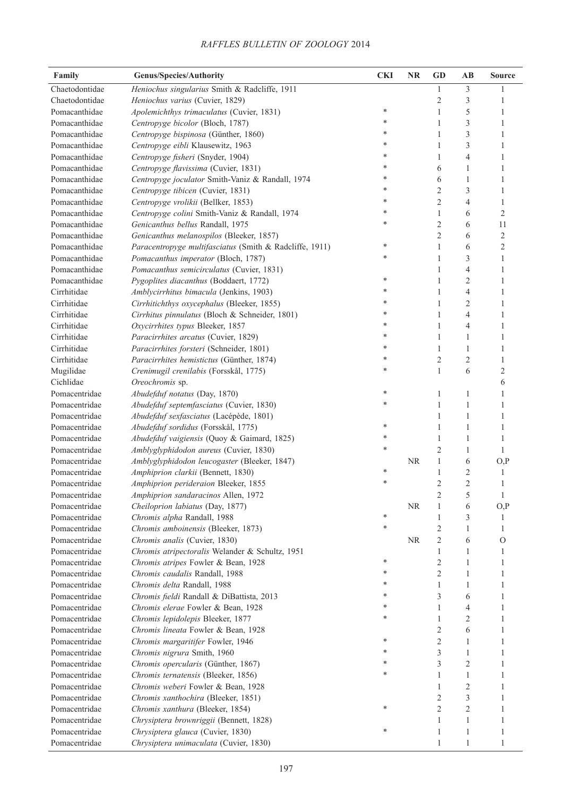| Family         | <b>Genus/Species/Authority</b>                          | <b>CKI</b> | <b>NR</b> | <b>GD</b>      | AB             | <b>Source</b>  |
|----------------|---------------------------------------------------------|------------|-----------|----------------|----------------|----------------|
| Chaetodontidae | Heniochus singularius Smith & Radcliffe, 1911           |            |           | $\mathbf{1}$   | 3              |                |
| Chaetodontidae | Heniochus varius (Cuvier, 1829)                         |            |           | $\overline{c}$ | $\mathfrak{Z}$ | 1              |
| Pomacanthidae  | Apolemichthys trimaculatus (Cuvier, 1831)               | *          |           | $\mathbf{1}$   | 5              | 1              |
| Pomacanthidae  | Centropyge bicolor (Bloch, 1787)                        | *          |           | $\mathbf{1}$   | 3              | $\mathbf{1}$   |
| Pomacanthidae  | Centropyge bispinosa (Günther, 1860)                    | *          |           | $\mathbf{1}$   | 3              | $\mathbf{1}$   |
| Pomacanthidae  | Centropyge eibli Klausewitz, 1963                       | *          |           | $\mathbf{1}$   | 3              | $\mathbf{1}$   |
| Pomacanthidae  | Centropyge fisheri (Snyder, 1904)                       | *          |           | $\mathbf{1}$   | $\overline{4}$ | $\mathbf{1}$   |
| Pomacanthidae  | Centropyge flavissima (Cuvier, 1831)                    | *          |           | 6              | 1              | $\mathbf{1}$   |
| Pomacanthidae  | Centropyge joculator Smith-Vaniz & Randall, 1974        | *          |           | 6              | $\mathbf{1}$   | $\mathbf{1}$   |
| Pomacanthidae  | Centropyge tibicen (Cuvier, 1831)                       | *          |           | $\sqrt{2}$     | $\mathfrak{Z}$ | $\mathbf{1}$   |
| Pomacanthidae  | Centropyge vrolikii (Bellker, 1853)                     | *          |           | $\mathfrak{2}$ | $\overline{4}$ | $\mathbf{1}$   |
| Pomacanthidae  | Centropyge colini Smith-Vaniz & Randall, 1974           | *          |           | $\mathbf{1}$   | 6              | $\mathfrak{2}$ |
| Pomacanthidae  | Genicanthus bellus Randall, 1975                        | *          |           | $\sqrt{2}$     | 6              | 11             |
| Pomacanthidae  | Genicanthus melanospilos (Bleeker, 1857)                |            |           | $\overline{2}$ | 6              | $\mathfrak{2}$ |
| Pomacanthidae  | Paracentropyge multifasciatus (Smith & Radcliffe, 1911) | *          |           | 1              | 6              | $\mathfrak{2}$ |
| Pomacanthidae  | Pomacanthus imperator (Bloch, 1787)                     | *          |           | $\mathbf{1}$   | $\mathfrak{Z}$ | 1              |
| Pomacanthidae  | Pomacanthus semicirculatus (Cuvier, 1831)               |            |           | 1              | $\overline{4}$ | 1              |
| Pomacanthidae  | Pygoplites diacanthus (Boddaert, 1772)                  | *          |           | $\mathbf{1}$   | $\mathfrak{2}$ | $\mathbf{1}$   |
| Cirrhitidae    | Amblycirrhitus bimacula (Jenkins, 1903)                 | *          |           | $\mathbf{1}$   | $\overline{4}$ | 1              |
| Cirrhitidae    | Cirrhitichthys oxycephalus (Bleeker, 1855)              | *          |           | $\mathbf{1}$   | $\mathfrak{2}$ | 1              |
| Cirrhitidae    | Cirrhitus pinnulatus (Bloch & Schneider, 1801)          | *          |           | $\mathbf{1}$   | $\overline{4}$ | 1              |
| Cirrhitidae    | Oxycirrhites typus Bleeker, 1857                        | *          |           | $\mathbf{1}$   | $\overline{4}$ | 1              |
| Cirrhitidae    | Paracirrhites arcatus (Cuvier, 1829)                    | *          |           | $\mathbf{1}$   | 1              | 1              |
| Cirrhitidae    | Paracirrhites forsteri (Schneider, 1801)                | *          |           | $\mathbf{1}$   | 1              | 1              |
| Cirrhitidae    | Paracirrhites hemistictus (Günther, 1874)               | *          |           | $\mathfrak{2}$ | $\mathfrak{2}$ | 1              |
| Mugilidae      | Crenimugil crenilabis (Forsskål, 1775)                  | *          |           | $\mathbf{1}$   | 6              | $\overline{2}$ |
| Cichlidae      | Oreochromis sp.                                         |            |           |                |                | 6              |
| Pomacentridae  | Abudefduf notatus (Day, 1870)                           | ∗          |           | 1              | 1              | 1              |
| Pomacentridae  | Abudefduf septemfasciatus (Cuvier, 1830)                | *          |           | 1              | $\mathbf{1}$   | 1              |
| Pomacentridae  | Abudefduf sexfasciatus (Lacépède, 1801)                 |            |           | 1              | 1              | 1              |
| Pomacentridae  | Abudefduf sordidus (Forsskål, 1775)                     | *          |           | 1              | 1              | 1              |
| Pomacentridae  | Abudefduf vaigiensis (Quoy & Gaimard, 1825)             | *          |           | 1              | 1              | 1              |
| Pomacentridae  | Amblyglyphidodon aureus (Cuvier, 1830)                  | *          |           | $\overline{2}$ | 1              | $\mathbf{1}$   |
| Pomacentridae  | Amblyglyphidodon leucogaster (Bleeker, 1847)            |            | <b>NR</b> | 1              | 6              | O, P           |
| Pomacentridae  | Amphiprion clarkii (Bennett, 1830)                      | ∗          |           | 1              | $\overline{2}$ | $\mathbf{1}$   |
| Pomacentridae  | Amphiprion perideraion Bleeker, 1855                    | *          |           | $\overline{2}$ | $\mathfrak{2}$ | 1              |
| Pomacentridae  | Amphiprion sandaracinos Allen, 1972                     |            |           | $\sqrt{2}$     | 5              | 1              |
| Pomacentridae  | Cheiloprion labiatus (Day, 1877)                        |            | <b>NR</b> | $\mathbf{1}$   | 6              | O, P           |
| Pomacentridae  | Chromis alpha Randall, 1988                             | *          |           | 1              | 3              | 1              |
| Pomacentridae  | Chromis amboinensis (Bleeker, 1873)                     | *          |           | $\mathfrak{2}$ | 1              | 1              |
| Pomacentridae  | Chromis analis (Cuvier, 1830)                           |            | <b>NR</b> | $\mathfrak{2}$ | 6              | $\mathcal{O}$  |
| Pomacentridae  | Chromis atripectoralis Welander & Schultz, 1951         |            |           | 1              | 1              | 1              |
| Pomacentridae  | Chromis atripes Fowler & Bean, 1928                     | *          |           | $\sqrt{2}$     | 1              | 1              |
| Pomacentridae  | Chromis caudalis Randall, 1988                          |            |           | $\overline{c}$ | 1              | 1              |
| Pomacentridae  | Chromis delta Randall, 1988                             |            |           | 1              | 1              | 1              |
| Pomacentridae  | Chromis fieldi Randall & DiBattista, 2013               |            |           | 3              | 6              | 1              |
| Pomacentridae  | Chromis elerae Fowler & Bean, 1928                      |            |           | 1              | 4              | 1              |
| Pomacentridae  | Chromis lepidolepis Bleeker, 1877                       | *          |           | $\mathbf{1}$   | 2              | 1              |
| Pomacentridae  | Chromis lineata Fowler & Bean, 1928                     |            |           | 2              | 6              | 1              |
| Pomacentridae  | Chromis margaritifer Fowler, 1946                       | *          |           | $\mathbf{2}$   | 1              | 1              |
| Pomacentridae  | Chromis nigrura Smith, 1960                             | *          |           | 3              | 1              | 1              |
| Pomacentridae  | Chromis opercularis (Günther, 1867)                     | *          |           | 3              | $\overline{c}$ | 1              |
| Pomacentridae  | Chromis ternatensis (Bleeker, 1856)                     | *          |           | 1              | 1              | 1              |
| Pomacentridae  | Chromis weberi Fowler & Bean, 1928                      |            |           | $\mathbf{1}$   | $\overline{2}$ | 1              |
| Pomacentridae  | Chromis xanthochira (Bleeker, 1851)                     |            |           | 2              | 3              | 1              |
| Pomacentridae  | Chromis xanthura (Bleeker, 1854)                        | *          |           | $\overline{c}$ | $\overline{2}$ | 1              |
| Pomacentridae  | Chrysiptera brownriggii (Bennett, 1828)                 |            |           | $\mathbf{1}$   | $\mathbf{1}$   | 1              |
| Pomacentridae  | Chrysiptera glauca (Cuvier, 1830)                       | *          |           | $\mathbf{1}$   | 1              | 1              |
| Pomacentridae  | Chrysiptera unimaculata (Cuvier, 1830)                  |            |           | 1              | 1              | 1              |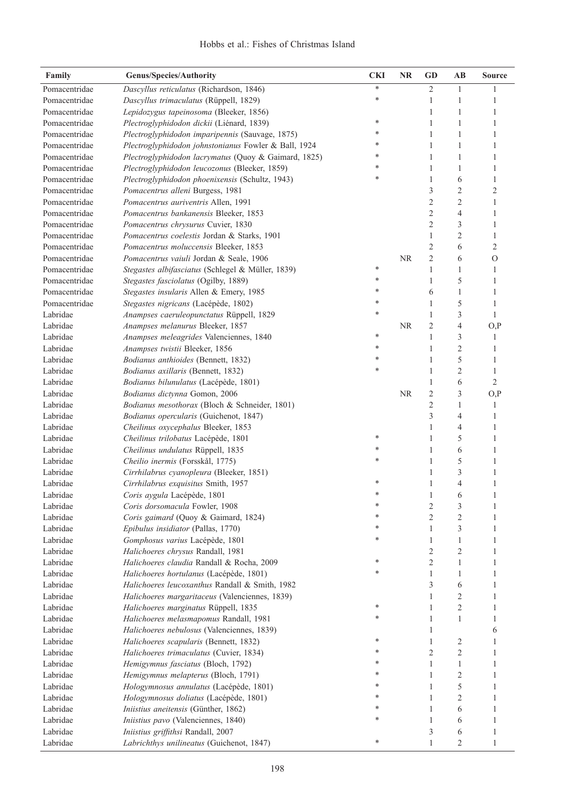## Hobbs et al.: Fishes of Christmas Island

| Family        | <b>Genus/Species/Authority</b>                       | <b>CKI</b> | <b>NR</b> | <b>GD</b>      | AB               | <b>Source</b>  |
|---------------|------------------------------------------------------|------------|-----------|----------------|------------------|----------------|
| Pomacentridae | Dascyllus reticulatus (Richardson, 1846)             | $\ast$     |           | $\overline{2}$ | 1                |                |
| Pomacentridae | Dascyllus trimaculatus (Rüppell, 1829)               | *          |           | 1              | 1                | 1              |
| Pomacentridae | Lepidozygus tapeinosoma (Bleeker, 1856)              |            |           | 1              | 1                | 1              |
| Pomacentridae | Plectroglyphidodon dickii (Liénard, 1839)            | *          |           | $\mathbf{1}$   | 1                | 1              |
| Pomacentridae | Plectroglyphidodon imparipennis (Sauvage, 1875)      | *          |           | 1              | 1                | 1              |
| Pomacentridae | Plectroglyphidodon johnstonianus Fowler & Ball, 1924 | *          |           | 1              | 1                | 1              |
| Pomacentridae | Plectroglyphidodon lacrymatus (Quoy & Gaimard, 1825) | *          |           | 1              | 1                | 1              |
| Pomacentridae | Plectroglyphidodon leucozonus (Bleeker, 1859)        | *          |           | $\mathbf{1}$   | 1                | 1              |
| Pomacentridae | Plectroglyphidodon phoenixensis (Schultz, 1943)      | *          |           | $\mathbf{1}$   | 6                | 1              |
| Pomacentridae | Pomacentrus alleni Burgess, 1981                     |            |           | $\mathfrak{Z}$ | $\mathfrak{2}$   | $\overline{2}$ |
| Pomacentridae | Pomacentrus auriventris Allen, 1991                  |            |           | $\overline{c}$ | $\mathfrak{2}$   | 1              |
| Pomacentridae | Pomacentrus bankanensis Bleeker, 1853                |            |           | $\overline{c}$ | $\overline{4}$   | 1              |
| Pomacentridae | Pomacentrus chrysurus Cuvier, 1830                   |            |           | $\overline{c}$ | 3                | $\mathbf{1}$   |
| Pomacentridae | Pomacentrus coelestis Jordan & Starks, 1901          |            |           | $\mathbf{1}$   | $\overline{c}$   | $\mathbf{1}$   |
| Pomacentridae | Pomacentrus moluccensis Bleeker, 1853                |            |           | $\overline{c}$ | 6                | $\overline{2}$ |
| Pomacentridae | Pomacentrus vaiuli Jordan & Seale, 1906              |            | <b>NR</b> | $\overline{c}$ | 6                | $\mathcal{O}$  |
| Pomacentridae | Stegastes albifasciatus (Schlegel & Müller, 1839)    | *          |           | $\mathbf{1}$   | $\mathbf{1}$     | 1              |
| Pomacentridae | Stegastes fasciolatus (Ogilby, 1889)                 | *          |           | $\mathbf{1}$   | 5                | 1              |
| Pomacentridae | Stegastes insularis Allen & Emery, 1985              | *          |           | 6              | 1                | 1              |
| Pomacentridae | Stegastes nigricans (Lacépède, 1802)                 | *          |           | $\mathbf{1}$   | 5                | 1              |
| Labridae      | Anampses caeruleopunctatus Rüppell, 1829             | *          |           | $\mathbf{1}$   | 3                | 1              |
| Labridae      | Anampses melanurus Bleeker, 1857                     |            | <b>NR</b> | $\overline{2}$ | $\overline{4}$   | O, P           |
| Labridae      | Anampses meleagrides Valenciennes, 1840              | *          |           | $\mathbf{1}$   | 3                | 1              |
| Labridae      | Anampses twistii Bleeker, 1856                       | *          |           | $\mathbf{1}$   | $\overline{c}$   | 1              |
| Labridae      | Bodianus anthioides (Bennett, 1832)                  | *          |           | $\mathbf{1}$   | 5                | 1              |
| Labridae      | Bodianus axillaris (Bennett, 1832)                   | *          |           | $\mathbf{1}$   | $\overline{c}$   | 1              |
| Labridae      | Bodianus bilunulatus (Lacépède, 1801)                |            |           | $\mathbf{1}$   | 6                | $\mathfrak{2}$ |
| Labridae      | Bodianus dictynna Gomon, 2006                        |            | <b>NR</b> | $\overline{c}$ | 3                | O, P           |
| Labridae      | Bodianus mesothorax (Bloch & Schneider, 1801)        |            |           | $\overline{c}$ | 1                | 1              |
| Labridae      | Bodianus opercularis (Guichenot, 1847)               |            |           | 3              | $\overline{4}$   | 1              |
| Labridae      | Cheilinus oxycephalus Bleeker, 1853                  |            |           | 1              | $\overline{4}$   | 1              |
| Labridae      | Cheilinus trilobatus Lacépède, 1801                  | *          |           | $\mathbf{1}$   | 5                | 1              |
| Labridae      | Cheilinus undulatus Rüppell, 1835                    | *          |           | 1              | 6                | 1              |
| Labridae      | Cheilio inermis (Forsskål, 1775)                     | *          |           | 1              | 5                | 1              |
| Labridae      | Cirrhilabrus cyanopleura (Bleeker, 1851)             |            |           | 1              | 3                | 1              |
| Labridae      | Cirrhilabrus exquisitus Smith, 1957                  | *          |           | 1              | 4                | $\mathbf{1}$   |
| Labridae      | Coris aygula Lacépède, 1801                          | *          |           | 1              | 6                | 1              |
| Labridae      | Coris dorsomacula Fowler, 1908                       | *          |           | $\overline{c}$ | 3                |                |
| Labridae      | Coris gaimard (Quoy & Gaimard, 1824)                 | *          |           | $\overline{2}$ | 2                | 1              |
| Labridae      | Epibulus insidiator (Pallas, 1770)                   | *          |           | 1              | 3                | 1              |
| Labridae      | Gomphosus varius Lacépède, 1801                      | *          |           | 1              | 1                | 1              |
| Labridae      | Halichoeres chrysus Randall, 1981                    |            |           | $\overline{c}$ | $\boldsymbol{2}$ | 1              |
| Labridae      | Halichoeres claudia Randall & Rocha, 2009            | *          |           | $\sqrt{2}$     | 1                |                |
| Labridae      | Halichoeres hortulanus (Lacépède, 1801)              | *          |           | 1              | 1                | 1              |
| Labridae      | Halichoeres leucoxanthus Randall & Smith, 1982       |            |           | 3              | 6                | 1              |
| Labridae      | Halichoeres margaritaceus (Valenciennes, 1839)       |            |           | 1              | 2                | 1              |
| Labridae      | Halichoeres marginatus Rüppell, 1835                 | *          |           | 1              | $\overline{c}$   | 1              |
| Labridae      | Halichoeres melasmapomus Randall, 1981               | *          |           | 1              | 1                | 1              |
| Labridae      | Halichoeres nebulosus (Valenciennes, 1839)           |            |           | 1              |                  | 6              |
| Labridae      | Halichoeres scapularis (Bennett, 1832)               | *          |           | 1              | 2                | 1              |
| Labridae      | Halichoeres trimaculatus (Cuvier, 1834)              | *          |           | $\overline{2}$ | 2                | 1              |
| Labridae      | Hemigymnus fasciatus (Bloch, 1792)                   | *          |           | 1              | 1                | 1              |
| Labridae      | Hemigymnus melapterus (Bloch, 1791)                  | *          |           | 1              | 2                | 1              |
| Labridae      | Hologymnosus annulatus (Lacépède, 1801)              | *          |           | 1              | 5                | 1              |
| Labridae      | Hologymnosus doliatus (Lacépède, 1801)               | *          |           | 1              | 2                | 1              |
| Labridae      | Iniistius aneitensis (Günther, 1862)                 | *          |           | 1              | 6                | 1              |
| Labridae      | Iniistius pavo (Valenciennes, 1840)                  | *          |           | 1              | 6                | 1              |
| Labridae      | Iniistius griffithsi Randall, 2007                   |            |           | 3              | 6                | 1              |
| Labridae      | Labrichthys unilineatus (Guichenot, 1847)            | ∗          |           | 1              | 2                | 1              |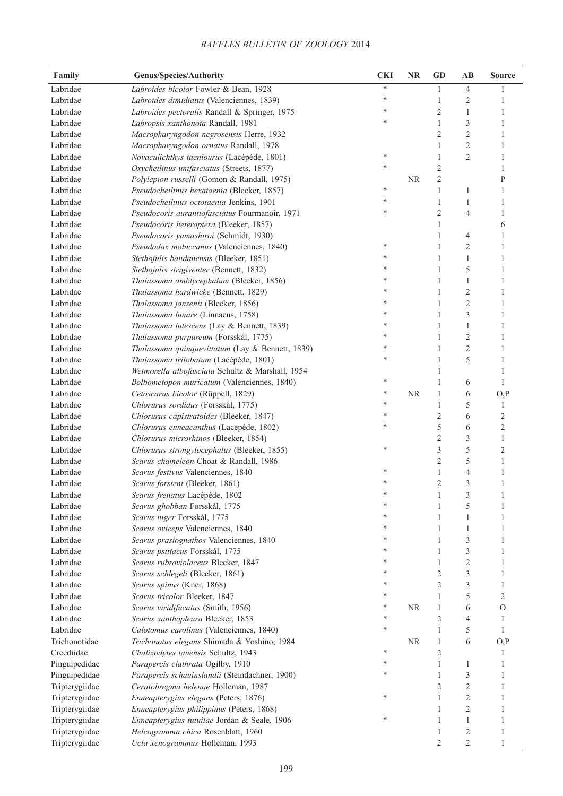| Family               | <b>Genus/Species/Authority</b>                   | <b>CKI</b> | NR        | <b>GD</b>      | AB                      | <b>Source</b>        |
|----------------------|--------------------------------------------------|------------|-----------|----------------|-------------------------|----------------------|
| Labridae             | Labroides bicolor Fowler & Bean, 1928            | *          |           | 1              | 4                       |                      |
| Labridae             | Labroides dimidiatus (Valenciennes, 1839)        | *          |           | 1              | 2                       | 1                    |
| Labridae             | Labroides pectoralis Randall & Springer, 1975    |            |           | $\overline{c}$ | 1                       | 1                    |
| Labridae             | Labropsis xanthonota Randall, 1981               | *          |           | $\mathbf{1}$   | $\mathfrak{Z}$          | 1                    |
| Labridae             | Macropharyngodon negrosensis Herre, 1932         |            |           | $\overline{c}$ | $\overline{2}$          | 1                    |
| Labridae             | Macropharyngodon ornatus Randall, 1978           |            |           | 1              | $\overline{2}$          | 1                    |
| Labridae             | Novaculichthys taeniourus (Lacépède, 1801)       | *          |           | 1              | $\overline{2}$          | 1                    |
| Labridae             | Oxycheilinus unifasciatus (Streets, 1877)        | *          |           | $\overline{c}$ |                         | 1                    |
| Labridae             | Polylepion russelli (Gomon & Randall, 1975)      |            | <b>NR</b> | $\overline{c}$ |                         | $\mathbf{P}$         |
| Labridae             | Pseudocheilinus hexataenia (Bleeker, 1857)       | ∗          |           | $\mathbf{1}$   | 1                       | $\mathbf{1}$         |
| Labridae             | Pseudocheilinus octotaenia Jenkins, 1901         | *          |           | 1              | 1                       | 1                    |
| Labridae             | Pseudocoris aurantiofasciatus Fourmanoir, 1971   | *          |           | $\sqrt{2}$     | $\overline{4}$          | $\mathbf{1}$         |
| Labridae             | Pseudocoris heteroptera (Bleeker, 1857)          |            |           | 1              |                         | 6                    |
| Labridae             | Pseudocoris yamashiroi (Schmidt, 1930)           |            |           | $\mathbf{1}$   | 4                       | $\mathbf{1}$         |
| Labridae             | Pseudodax moluccanus (Valenciennes, 1840)        |            |           | $\mathbf{1}$   | $\overline{2}$          | $\mathbf{1}$         |
| Labridae             | Stethojulis bandanensis (Bleeker, 1851)          |            |           | $\mathbf{1}$   | $\mathbf{1}$            | $\mathbf{1}$         |
| Labridae             | Stethojulis strigiventer (Bennett, 1832)         |            |           | $\mathbf{1}$   | 5                       | $\mathbf{1}$         |
| Labridae             | Thalassoma amblycephalum (Bleeker, 1856)         |            |           | $\mathbf{1}$   | $\mathbf{1}$            | $\mathbf{1}$         |
| Labridae             | Thalassoma hardwicke (Bennett, 1829)             |            |           | $\mathbf{1}$   | $\overline{2}$          | $\mathbf{1}$         |
| Labridae             | Thalassoma jansenii (Bleeker, 1856)              |            |           | $\mathbf{1}$   | $\overline{c}$          | $\mathbf{1}$         |
| Labridae             | Thalassoma lunare (Linnaeus, 1758)               |            |           | $\mathbf{1}$   | 3                       | $\mathbf{1}$         |
| Labridae             | Thalassoma lutescens (Lay & Bennett, 1839)       |            |           | $\mathbf{1}$   | $\mathbf{1}$            | $\mathbf{1}$         |
| Labridae             | Thalassoma purpureum (Forsskål, 1775)            |            |           | $\mathbf{1}$   | $\overline{2}$          | $\mathbf{1}$         |
| Labridae             | Thalassoma quinquevittatum (Lay & Bennett, 1839) | *          |           | $\mathbf{1}$   | $\overline{c}$          | $\mathbf{1}$         |
| Labridae             | Thalassoma trilobatum (Lacépède, 1801)           | *          |           | $\mathbf{1}$   | 5                       | $\mathbf{1}$         |
| Labridae             | Wetmorella albofasciata Schultz & Marshall, 1954 |            |           | 1              |                         | $\mathbf{1}$         |
| Labridae             | Bolbometopon muricatum (Valenciennes, 1840)      | ∗          |           | $\mathbf{1}$   |                         | $\mathbf{1}$         |
| Labridae             |                                                  | ∗          | <b>NR</b> | $\mathbf{1}$   | 6                       |                      |
| Labridae             | Cetoscarus bicolor (Rüppell, 1829)               | *          |           | $\mathbf{1}$   | 6<br>5                  | O, P<br>$\mathbf{1}$ |
| Labridae             | Chlorurus sordidus (Forsskål, 1775)              | *          |           | $\mathfrak{2}$ |                         | $\mathfrak{2}$       |
|                      | Chlorurus capistratoides (Bleeker, 1847)         | $\ast$     |           |                | 6                       |                      |
| Labridae             | Chlorurus enneacanthus (Lacepède, 1802)          |            |           | 5              | 6                       | $\sqrt{2}$           |
| Labridae             | Chlorurus microrhinos (Bleeker, 1854)            |            |           | $\mathfrak{2}$ | 3                       | $\mathbf{1}$         |
| Labridae<br>Labridae | Chlorurus strongylocephalus (Bleeker, 1855)      |            |           | 3              | 5                       | $\mathfrak{2}$       |
|                      | Scarus chameleon Choat & Randall, 1986           |            |           | $\mathfrak{2}$ | 5                       | $\mathbf{1}$         |
| Labridae             | Scarus festivus Valenciennes, 1840               |            |           | $\mathbf{1}$   | 4                       | 1                    |
| Labridae             | Scarus forsteni (Bleeker, 1861)                  |            |           | $\overline{2}$ | 3                       | $\mathbf{1}$         |
| Labridae             | Scarus frenatus Lacépède, 1802                   |            |           | $\mathbf{1}$   | 3                       | $\mathbf{1}$         |
| Labridae             | Scarus ghobban Forsskål, 1775                    |            |           | 1              | 5                       | 1                    |
| Labridae             | Scarus niger Forsskål, 1775                      |            |           | 1              | 1                       | 1                    |
| Labridae             | Scarus oviceps Valenciennes, 1840                |            |           | 1              | 1                       | 1                    |
| Labridae             | Scarus prasiognathos Valenciennes, 1840          |            |           | 1              | 3                       | 1                    |
| Labridae             | Scarus psittacus Forsskål, 1775                  |            |           | 1              | 3                       | 1                    |
| Labridae             | Scarus rubroviolaceus Bleeker, 1847              |            |           | 1              | $\overline{c}$          | 1                    |
| Labridae             | Scarus schlegeli (Bleeker, 1861)                 |            |           | $\mathfrak{2}$ | 3                       | 1                    |
| Labridae             | Scarus spinus (Kner, 1868)                       | *          |           | $\sqrt{2}$     | 3                       | 1                    |
| Labridae             | Scarus tricolor Bleeker, 1847                    | *          |           | 1              | 5                       | $\overline{2}$       |
| Labridae             | Scarus viridifucatus (Smith, 1956)               | ∗          | <b>NR</b> | 1              | 6                       | $\mathcal{O}$        |
| Labridae             | Scarus xanthopleura Bleeker, 1853                | ∗          |           | $\sqrt{2}$     | 4                       | 1                    |
| Labridae             | Calotomus carolinus (Valenciennes, 1840)         | ∗          |           | 1              | 5                       | 1                    |
| Trichonotidae        | Trichonotus elegans Shimada & Yoshino, 1984      |            | <b>NR</b> | $\mathbf{1}$   | 6                       | O, P                 |
| Creediidae           | Chalixodytes tauensis Schultz, 1943              | ∗          |           | $\sqrt{2}$     |                         | 1                    |
| Pinguipedidae        | Parapercis clathrata Ogilby, 1910                | *          |           | 1              | 1                       | 1                    |
| Pinguipedidae        | Parapercis schauinslandii (Steindachner, 1900)   |            |           | 1              | 3                       | 1                    |
| Tripterygiidae       | Ceratobregma helenae Holleman, 1987              |            |           | 2              | $\overline{c}$          | 1                    |
| Tripterygiidae       | Enneapterygius elegans (Peters, 1876)            |            |           | 1              | $\overline{c}$          | 1                    |
| Tripterygiidae       | Enneapterygius philippinus (Peters, 1868)        |            |           | 1              | $\overline{c}$          | 1                    |
| Tripterygiidae       | Enneapterygius tutuilae Jordan & Seale, 1906     |            |           | 1              | 1                       | 1                    |
| Tripterygiidae       | Helcogramma chica Rosenblatt, 1960               |            |           | 1              | $\overline{\mathbf{c}}$ | 1                    |
| Tripterygiidae       | Ucla xenogrammus Holleman, 1993                  |            |           | $\mathfrak{2}$ | $\mathbf{2}$            | 1                    |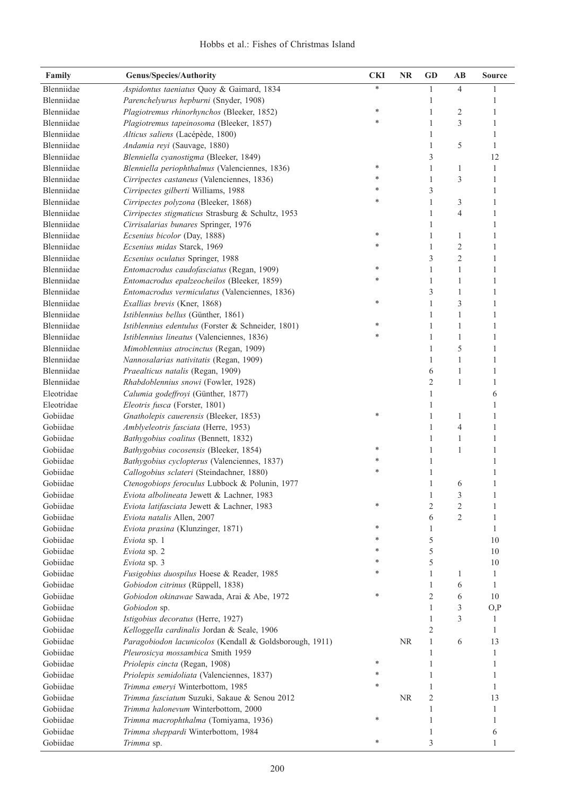| Family     | Genus/Species/Authority                                 | <b>CKI</b> | <b>NR</b> | <b>GD</b>      | $\mathbf{A}\mathbf{B}$ | <b>Source</b> |
|------------|---------------------------------------------------------|------------|-----------|----------------|------------------------|---------------|
| Blenniidae | Aspidontus taeniatus Quoy & Gaimard, 1834               | $\ast$     |           | 1              | 4                      |               |
| Blenniidae | Parenchelyurus hepburni (Snyder, 1908)                  |            |           | 1              |                        | 1             |
| Blenniidae | Plagiotremus rhinorhynchos (Bleeker, 1852)              | ∗          |           | 1              | $\overline{c}$         | 1             |
| Blenniidae | Plagiotremus tapeinosoma (Bleeker, 1857)                | *          |           | 1              | 3                      | 1             |
| Blenniidae | Alticus saliens (Lacépède, 1800)                        |            |           | 1              |                        | 1             |
| Blenniidae | Andamia reyi (Sauvage, 1880)                            |            |           | $\mathbf{1}$   | 5                      | 1             |
| Blenniidae | Blenniella cyanostigma (Bleeker, 1849)                  |            |           | $\mathfrak{Z}$ |                        | 12            |
| Blenniidae | Blenniella periophthalmus (Valenciennes, 1836)          | ∗          |           | $\mathbf 1$    | 1                      | 1             |
| Blenniidae | Cirripectes castaneus (Valenciennes, 1836)              | *          |           | $\,1\,$        | 3                      | $\mathbf{1}$  |
| Blenniidae | Cirripectes gilberti Williams, 1988                     | *          |           | 3              |                        | 1             |
| Blenniidae | Cirripectes polyzona (Bleeker, 1868)                    | *          |           | $\,1\,$        | 3                      | $\mathbf{1}$  |
| Blenniidae | Cirripectes stigmaticus Strasburg & Schultz, 1953       |            |           | $\mathbf{1}$   | 4                      | $\mathbf{1}$  |
| Blenniidae | Cirrisalarias bunares Springer, 1976                    |            |           | $\mathbf{1}$   |                        | 1             |
| Blenniidae | Ecsenius bicolor (Day, 1888)                            | ∗          |           | $\mathbf{1}$   | $\mathbf{1}$           | 1             |
| Blenniidae | Ecsenius midas Starck, 1969                             | *          |           | $\mathbf{1}$   | $\overline{c}$         | 1             |
| Blenniidae | Ecsenius oculatus Springer, 1988                        |            |           | $\mathfrak{Z}$ | $\overline{2}$         | 1             |
| Blenniidae | Entomacrodus caudofasciatus (Regan, 1909)               | ∗          |           | $\mathbf{1}$   | 1                      | 1             |
| Blenniidae | Entomacrodus epalzeocheilos (Bleeker, 1859)             | *          |           | $\mathbf{1}$   | $\mathbf{1}$           | 1             |
| Blenniidae | Entomacrodus vermiculatus (Valenciennes, 1836)          |            |           | $\mathfrak{Z}$ | $\mathbf{1}$           | 1             |
| Blenniidae | Exallias brevis (Kner, 1868)                            | *          |           | $\mathbf{1}$   | 3                      | 1             |
| Blenniidae | Istiblennius bellus (Günther, 1861)                     |            |           | $\mathbf{1}$   | $\mathbf{1}$           | 1             |
| Blenniidae | Istiblennius edentulus (Forster & Schneider, 1801)      | *          |           | $\mathbf{1}$   | $\mathbf{1}$           | 1             |
| Blenniidae | Istiblennius lineatus (Valenciennes, 1836)              | *          |           | $\mathbf{1}$   | 1                      | 1             |
| Blenniidae | Mimoblennius atrocinctus (Regan, 1909)                  |            |           | $\mathbf{1}$   | 5                      | 1             |
| Blenniidae | Nannosalarias nativitatis (Regan, 1909)                 |            |           | 1              | 1                      | 1             |
| Blenniidae | Praealticus natalis (Regan, 1909)                       |            |           | 6              | 1                      | 1             |
| Blenniidae | Rhabdoblennius snowi (Fowler, 1928)                     |            |           | $\overline{c}$ | 1                      | 1             |
| Eleotridae | Calumia godeffroyi (Günther, 1877)                      |            |           | 1              |                        | 6             |
| Eleotridae | Eleotris fusca (Forster, 1801)                          |            |           | 1              |                        | 1             |
| Gobiidae   | Gnatholepis cauerensis (Bleeker, 1853)                  | *          |           | 1              | 1                      | 1             |
| Gobiidae   | Amblyeleotris fasciata (Herre, 1953)                    |            |           | $\mathbf{1}$   | $\overline{4}$         | 1             |
| Gobiidae   | Bathygobius coalitus (Bennett, 1832)                    |            |           | $\mathbf{1}$   | 1                      | 1             |
| Gobiidae   | Bathygobius cocosensis (Bleeker, 1854)                  | ∗          |           | 1              | 1                      | 1             |
| Gobiidae   | Bathygobius cyclopterus (Valenciennes, 1837)            | *          |           | 1              |                        | 1             |
| Gobiidae   | Callogobius sclateri (Steindachner, 1880)               | *          |           | 1              |                        | 1             |
| Gobiidae   | Ctenogobiops feroculus Lubbock & Polunin, 1977          |            |           | 1              | 6                      | $\mathbf{1}$  |
| Gobiidae   | Eviota albolineata Jewett & Lachner, 1983               |            |           | 1              | 3                      | 1             |
| Gobiidae   | Eviota latifasciata Jewett & Lachner, 1983              | *          |           | $\overline{c}$ | $\overline{c}$         |               |
| Gobiidae   | Eviota natalis Allen, 2007                              |            |           | 6              | $\overline{2}$         | 1             |
| Gobiidae   | Eviota prasina (Klunzinger, 1871)                       | ∗          |           | 1              |                        | 1             |
| Gobiidae   | Eviota sp. 1                                            | *          |           | 5              |                        | 10            |
| Gobiidae   | Eviota sp. 2                                            | *          |           | 5              |                        | 10            |
| Gobiidae   | Eviota sp. 3                                            | *          |           | 5              |                        | 10            |
| Gobiidae   | Fusigobius duospilus Hoese & Reader, 1985               | *          |           | 1              | 1                      | 1             |
| Gobiidae   | Gobiodon citrinus (Rüppell, 1838)                       |            |           | 1              | 6                      | 1             |
| Gobiidae   | Gobiodon okinawae Sawada, Arai & Abe, 1972              | ∗          |           | $\overline{2}$ | 6                      | 10            |
| Gobiidae   | Gobiodon sp.                                            |            |           | 1              | 3                      | O, P          |
| Gobiidae   | Istigobius decoratus (Herre, 1927)                      |            |           | 1              | 3                      | 1             |
| Gobiidae   | Kelloggella cardinalis Jordan & Seale, 1906             |            |           | $\overline{2}$ |                        | 1             |
| Gobiidae   | Paragobiodon lacunicolos (Kendall & Goldsborough, 1911) |            | <b>NR</b> | 1              | 6                      | 13            |
| Gobiidae   | Pleurosicya mossambica Smith 1959                       |            |           | 1              |                        | 1             |
| Gobiidae   | Priolepis cincta (Regan, 1908)                          | ∗          |           | 1              |                        | 1             |
| Gobiidae   | Priolepis semidoliata (Valenciennes, 1837)              | *          |           | 1              |                        | 1             |
| Gobiidae   | Trimma emeryi Winterbottom, 1985                        | *          |           | 1              |                        | 1             |
| Gobiidae   | Trimma fasciatum Suzuki, Sakaue & Senou 2012            |            | <b>NR</b> | 2              |                        | 13            |
| Gobiidae   | Trimma halonevum Winterbottom, 2000                     |            |           | 1              |                        | 1             |
| Gobiidae   | Trimma macrophthalma (Tomiyama, 1936)                   | ∗          |           | 1              |                        | 1             |
| Gobiidae   | Trimma sheppardi Winterbottom, 1984                     |            |           | 1              |                        | 6             |
| Gobiidae   | Trimma sp.                                              | ∗          |           | 3              |                        | 1             |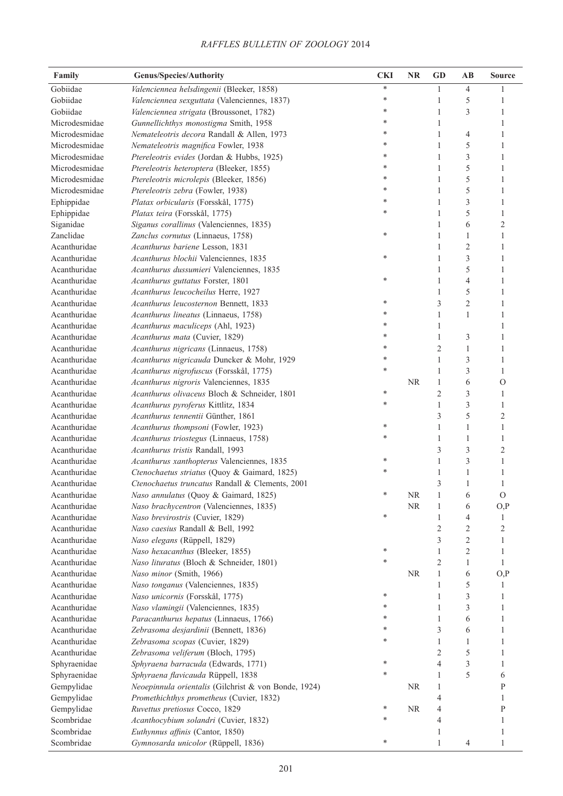| Family        | <b>Genus/Species/Authority</b>                                                | <b>CKI</b> | NR        | <b>GD</b>      | $\mathbf{AB}$  | <b>Source</b>  |
|---------------|-------------------------------------------------------------------------------|------------|-----------|----------------|----------------|----------------|
| Gobiidae      | Valenciennea helsdingenii (Bleeker, 1858)                                     | *          |           | 1              | 4              | 1              |
| Gobiidae      | Valenciennea sexguttata (Valenciennes, 1837)                                  | *          |           | 1              | 5              | 1              |
| Gobiidae      | Valenciennea strigata (Broussonet, 1782)                                      | *          |           | 1              | 3              | 1              |
| Microdesmidae | Gunnellichthys monostigma Smith, 1958                                         | *          |           | 1              |                | 1              |
| Microdesmidae | Nemateleotris decora Randall & Allen, 1973                                    | *          |           | 1              | 4              | 1              |
| Microdesmidae | Nemateleotris magnifica Fowler, 1938                                          | *          |           | 1              | 5              | 1              |
| Microdesmidae | Ptereleotris evides (Jordan & Hubbs, 1925)                                    | *          |           | 1              | 3              | 1              |
| Microdesmidae | Ptereleotris heteroptera (Bleeker, 1855)                                      | *          |           | 1              | 5              | 1              |
| Microdesmidae | Ptereleotris microlepis (Bleeker, 1856)                                       | *          |           | $\mathbf{1}$   | 5              | 1              |
| Microdesmidae | Ptereleotris zebra (Fowler, 1938)                                             | *          |           | $\mathbf{1}$   | 5              | 1              |
| Ephippidae    | Platax orbicularis (Forsskål, 1775)                                           | *          |           | $\mathbf{1}$   | 3              | 1              |
| Ephippidae    | Platax teira (Forsskål, 1775)                                                 | *          |           | $\mathbf{1}$   | 5              | 1              |
| Siganidae     | Siganus corallinus (Valenciennes, 1835)                                       |            |           | 1              | 6              | $\overline{c}$ |
| Zanclidae     | Zanclus cornutus (Linnaeus, 1758)                                             | *          |           | $\mathbf{1}$   | $\mathbf{1}$   | 1              |
| Acanthuridae  | Acanthurus bariene Lesson, 1831                                               |            |           | $\mathbf{1}$   | $\mathbf{2}$   | 1              |
| Acanthuridae  | Acanthurus blochii Valenciennes, 1835                                         | *          |           | $\mathbf{1}$   | 3              | 1              |
| Acanthuridae  | Acanthurus dussumieri Valenciennes, 1835                                      |            |           | $\mathbf{1}$   | 5              | 1              |
| Acanthuridae  | Acanthurus guttatus Forster, 1801                                             | *          |           | $\mathbf{1}$   | $\overline{4}$ | 1              |
| Acanthuridae  | Acanthurus leucocheilus Herre, 1927                                           |            |           | $\mathbf{1}$   | 5              | 1              |
| Acanthuridae  | Acanthurus leucosternon Bennett, 1833                                         | *          |           | 3              | $\overline{c}$ | 1              |
| Acanthuridae  | Acanthurus lineatus (Linnaeus, 1758)                                          | *          |           | $\mathbf{1}$   | $\mathbf{1}$   | 1              |
| Acanthuridae  | Acanthurus maculiceps (Ahl, 1923)                                             | ∗          |           | 1              |                | 1              |
| Acanthuridae  | Acanthurus mata (Cuvier, 1829)                                                | *          |           | $\mathbf{1}$   | 3              | 1              |
| Acanthuridae  | Acanthurus nigricans (Linnaeus, 1758)                                         | *          |           | 2              | $\mathbf{1}$   | 1              |
| Acanthuridae  | Acanthurus nigricauda Duncker & Mohr, 1929                                    | *          |           | $\mathbf{1}$   | 3              | 1              |
| Acanthuridae  | Acanthurus nigrofuscus (Forsskål, 1775)                                       | *          |           | $\mathbf{1}$   | 3              | 1              |
| Acanthuridae  | Acanthurus nigroris Valenciennes, 1835                                        |            | <b>NR</b> | $\mathbf{1}$   | 6              | $\mathcal{O}$  |
| Acanthuridae  | Acanthurus olivaceus Bloch & Schneider, 1801                                  | *          |           | $\mathfrak{2}$ | 3              | 1              |
| Acanthuridae  | Acanthurus pyroferus Kittlitz, 1834                                           | *          |           | 1              | 3              | 1              |
| Acanthuridae  | Acanthurus tennentii Günther, 1861                                            |            |           | 3              | 5              | $\overline{c}$ |
| Acanthuridae  |                                                                               | *          |           | 1              | 1              | 1              |
| Acanthuridae  | Acanthurus thompsoni (Fowler, 1923)<br>Acanthurus triostegus (Linnaeus, 1758) | *          |           | 1              | 1              | 1              |
| Acanthuridae  |                                                                               |            |           | 3              | 3              | $\overline{2}$ |
| Acanthuridae  | Acanthurus tristis Randall, 1993                                              | *          |           | 1              | 3              | 1              |
| Acanthuridae  | Acanthurus xanthopterus Valenciennes, 1835                                    |            |           |                |                |                |
|               | Ctenochaetus striatus (Quoy & Gaimard, 1825)                                  |            |           | 1              | 1              | 1              |
| Acanthuridae  | Ctenochaetus truncatus Randall & Clements, 2001                               | *          |           | 3              | 1              | 1              |
| Acanthuridae  | Naso annulatus (Quoy & Gaimard, 1825)                                         |            | $\rm NR$  | $\mathbf{1}$   | 6              | $\mathcal{O}$  |
| Acanthuridae  | Naso brachycentron (Valenciennes, 1835)                                       | *          | <b>NR</b> | 1              | 6              | O, P           |
| Acanthuridae  | Naso brevirostris (Cuvier, 1829)                                              |            |           | 1              | 4              | 1              |
| Acanthuridae  | Naso caesius Randall & Bell, 1992                                             |            |           | 2              | $\overline{c}$ | 2              |
| Acanthuridae  | Naso elegans (Rüppell, 1829)                                                  |            |           | 3              | $\overline{c}$ | 1              |
| Acanthuridae  | Naso hexacanthus (Bleeker, 1855)                                              | ∗          |           | 1              | 2              | 1              |
| Acanthuridae  | Naso lituratus (Bloch & Schneider, 1801)                                      | *          |           | $\overline{c}$ | 1              | 1              |
| Acanthuridae  | Naso minor (Smith, 1966)                                                      |            | <b>NR</b> | $\mathbf{1}$   | 6              | O, P           |
| Acanthuridae  | Naso tonganus (Valenciennes, 1835)                                            |            |           | 1              | 5              | 1              |
| Acanthuridae  | Naso unicornis (Forsskål, 1775)                                               | *          |           | 1              | 3              | 1              |
| Acanthuridae  | Naso vlamingii (Valenciennes, 1835)                                           | *          |           | 1              | 3              | 1              |
| Acanthuridae  | Paracanthurus hepatus (Linnaeus, 1766)                                        | ∗          |           | $\mathbf{1}$   | 6              | 1              |
| Acanthuridae  | Zebrasoma desjardinii (Bennett, 1836)                                         | *          |           | 3              | 6              | 1              |
| Acanthuridae  | Zebrasoma scopas (Cuvier, 1829)                                               | *          |           | $\mathbf{1}$   | 1              | 1              |
| Acanthuridae  | Zebrasoma veliferum (Bloch, 1795)                                             |            |           | 2              | 5              | 1              |
| Sphyraenidae  | Sphyraena barracuda (Edwards, 1771)                                           | ∗          |           | 4              | 3              | 1              |
| Sphyraenidae  | Sphyraena flavicauda Rüppell, 1838                                            | *          |           | 1              | 5              | 6              |
| Gempylidae    | Neoepinnula orientalis (Gilchrist & von Bonde, 1924)                          |            | <b>NR</b> | 1              |                | P              |
| Gempylidae    | Promethichthys prometheus (Cuvier, 1832)                                      |            |           | 4              |                | 1              |
| Gempylidae    | Ruvettus pretiosus Cocco, 1829                                                | ∗          | <b>NR</b> | 4              |                | P              |
| Scombridae    | Acanthocybium solandri (Cuvier, 1832)                                         | *          |           | 4              |                | 1              |
| Scombridae    | Euthynnus affinis (Cantor, 1850)                                              |            |           | 1              |                | 1              |
| Scombridae    | Gymnosarda unicolor (Rüppell, 1836)                                           | *          |           | 1              | 4              | 1              |